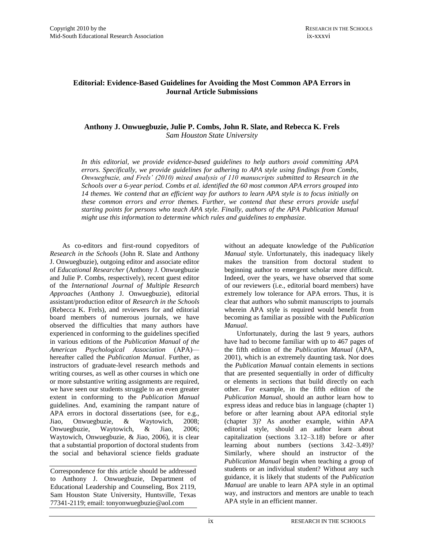### **Editorial: Evidence-Based Guidelines for Avoiding the Most Common APA Errors in Journal Article Submissions**

#### **Anthony J. Onwuegbuzie, Julie P. Combs, John R. Slate, and Rebecca K. Frels** *Sam Houston State University*

*In this editorial, we provide evidence-based guidelines to help authors avoid committing APA errors. Specifically, we provide guidelines for adhering to APA style using findings from Combs, Onwuegbuzie, and Frels' (2010) mixed analysis of 110 manuscripts submitted to Research in the Schools over a 6-year period. Combs et al. identified the 60 most common APA errors grouped into 14 themes. We contend that an efficient way for authors to learn APA style is to focus initially on these common errors and error themes. Further, we contend that these errors provide useful starting points for persons who teach APA style. Finally, authors of the APA Publication Manual might use this information to determine which rules and guidelines to emphasize.*

As co-editors and first-round copyeditors of *Research in the Schools* (John R. Slate and Anthony J. Onwuegbuzie), outgoing editor and associate editor of *Educational Researcher* (Anthony J. Onwuegbuzie and Julie P. Combs, respectively), recent guest editor of the *International Journal of Multiple Research Approaches* (Anthony J. Onwuegbuzie), editorial assistant/production editor of *Research in the Schools* (Rebecca K. Frels), and reviewers for and editorial board members of numerous journals, we have observed the difficulties that many authors have experienced in conforming to the guidelines specified in various editions of the *Publication Manual of the American Psychological Association* (APA) hereafter called the *Publication Manual*. Further, as instructors of graduate-level research methods and writing courses, as well as other courses in which one or more substantive writing assignments are required, we have seen our students struggle to an even greater extent in conforming to the *Publication Manual* guidelines. And, examining the rampant nature of APA errors in doctoral dissertations (see, for e.g., Jiao, Onwuegbuzie, & Waytowich, 2008; Onwuegbuzie, Waytowich, & Jiao, 2006; Waytowich, Onwuegbuzie, & Jiao, 2006), it is clear that a substantial proportion of doctoral students from the social and behavioral science fields graduate

Correspondence for this article should be addressed to Anthony J. Onwuegbuzie, Department of Educational Leadership and Counseling, Box 2119, Sam Houston State University, Huntsville, Texas 77341-2119; email: tonyonwuegbuzie@aol.com

without an adequate knowledge of the *Publication Manual* style. Unfortunately, this inadequacy likely makes the transition from doctoral student to beginning author to emergent scholar more difficult. Indeed, over the years, we have observed that some of our reviewers (i.e., editorial board members) have extremely low tolerance for APA errors. Thus, it is clear that authors who submit manuscripts to journals wherein APA style is required would benefit from becoming as familiar as possible with the *Publication Manual*.

Unfortunately, during the last 9 years, authors have had to become familiar with up to 467 pages of the fifth edition of the *Publication Manual* (APA, 2001), which is an extremely daunting task. Nor does the *Publication Manual* contain elements in sections that are presented sequentially in order of difficulty or elements in sections that build directly on each other. For example, in the fifth edition of the *Publication Manual*, should an author learn how to express ideas and reduce bias in language (chapter 1) before or after learning about APA editorial style (chapter 3)? As another example, within APA editorial style, should an author learn about capitalization (sections 3.12–3.18) before or after learning about numbers (sections 3.42–3.49)? Similarly, where should an instructor of the *Publication Manual* begin when teaching a group of students or an individual student? Without any such guidance, it is likely that students of the *Publication Manual* are unable to learn APA style in an optimal way, and instructors and mentors are unable to teach APA style in an efficient manner.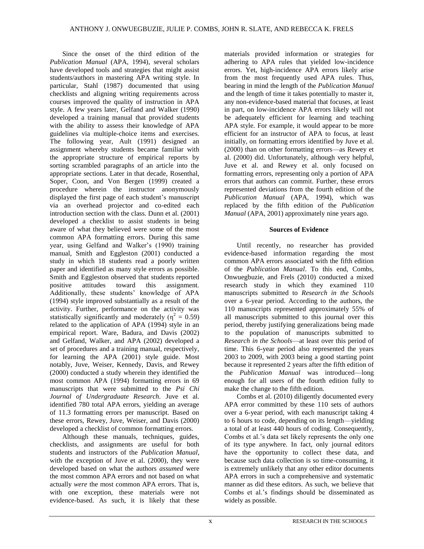Since the onset of the third edition of the *Publication Manual* (APA, 1994), several scholars have developed tools and strategies that might assist students/authors in mastering APA writing style. In particular, Stahl (1987) documented that using checklists and aligning writing requirements across courses improved the quality of instruction in APA style. A few years later, Gelfand and Walker (1990) developed a training manual that provided students with the ability to assess their knowledge of APA guidelines via multiple-choice items and exercises. The following year, Ault (1991) designed an assignment whereby students became familiar with the appropriate structure of empirical reports by sorting scrambled paragraphs of an article into the appropriate sections. Later in that decade, Rosenthal, Soper, Coon, and Von Bergen (1999) created a procedure wherein the instructor anonymously displayed the first page of each student's manuscript via an overhead projector and co-edited each introduction section with the class. Dunn et al. (2001) developed a checklist to assist students in being aware of what they believed were some of the most common APA formatting errors. During this same year, using Gelfand and Walker's (1990) training manual, Smith and Eggleston (2001) conducted a study in which 18 students read a poorly written paper and identified as many style errors as possible. Smith and Eggleston observed that students reported positive attitudes toward this assignment. Additionally, these students' knowledge of APA (1994) style improved substantially as a result of the activity. Further, performance on the activity was statistically significantly and moderately ( $\eta^2 = 0.59$ ) related to the application of APA (1994) style in an empirical report. Ware, Badura, and Davis (2002) and Gelfand, Walker, and APA (2002) developed a set of procedures and a training manual, respectively, for learning the APA (2001) style guide. Most notably, Juve, Weiser, Kennedy, Davis, and Rewey (2000) conducted a study wherein they identified the most common APA (1994) formatting errors in 69 manuscripts that were submitted to the *Psi Chi Journal of Undergraduate Research.* Juve et al. identified 780 total APA errors, yielding an average of 11.3 formatting errors per manuscript. Based on these errors, Rewey, Juve, Weiser, and Davis (2000) developed a checklist of common formatting errors.

Although these manuals, techniques, guides, checklists, and assignments are useful for both students and instructors of the *Publication Manual*, with the exception of Juve et al. (2000), they were developed based on what the authors *assumed* were the most common APA errors and not based on what actually *were* the most common APA errors. That is, with one exception, these materials were not evidence-based. As such, it is likely that these

materials provided information or strategies for adhering to APA rules that yielded low-incidence errors. Yet, high-incidence APA errors likely arise from the most frequently used APA rules. Thus, bearing in mind the length of the *Publication Manual*  and the length of time it takes potentially to master it, any non-evidence-based material that focuses, at least in part, on low-incidence APA errors likely will not be adequately efficient for learning and teaching APA style. For example, it would appear to be more efficient for an instructor of APA to focus, at least initially, on formatting errors identified by Juve et al. (2000) than on other formatting errors—as Rewey et al. (2000) did. Unfortunately, although very helpful, Juve et al. and Rewey et al. only focused on formatting errors, representing only a portion of APA errors that authors can commit. Further, these errors represented deviations from the fourth edition of the *Publication Manual* (APA, 1994), which was replaced by the fifth edition of the *Publication Manual* (APA, 2001) approximately nine years ago.

#### **Sources of Evidence**

Until recently, no researcher has provided evidence-based information regarding the most common APA errors associated with the fifth edition of the *Publication Manual*. To this end, Combs, Onwuegbuzie, and Frels (2010) conducted a mixed research study in which they examined 110 manuscripts submitted to *Research in the Schools* over a 6-year period. According to the authors, the 110 manuscripts represented approximately 55% of all manuscripts submitted to this journal over this period, thereby justifying generalizations being made to the population of manuscripts submitted to *Research in the Schools*—at least over this period of time. This 6-year period also represented the years 2003 to 2009, with 2003 being a good starting point because it represented 2 years after the fifth edition of the *Publication Manual* was introduced—long enough for all users of the fourth edition fully to make the change to the fifth edition.

Combs et al. (2010) diligently documented every APA error committed by these 110 sets of authors over a 6-year period, with each manuscript taking 4 to 6 hours to code, depending on its length—yielding a total of at least 440 hours of coding. Consequently, Combs et al.'s data set likely represents the only one of its type anywhere. In fact, only journal editors have the opportunity to collect these data, and because such data collection is so time-consuming, it is extremely unlikely that any other editor documents APA errors in such a comprehensive and systematic manner as did these editors. As such, we believe that Combs et al.'s findings should be disseminated as widely as possible.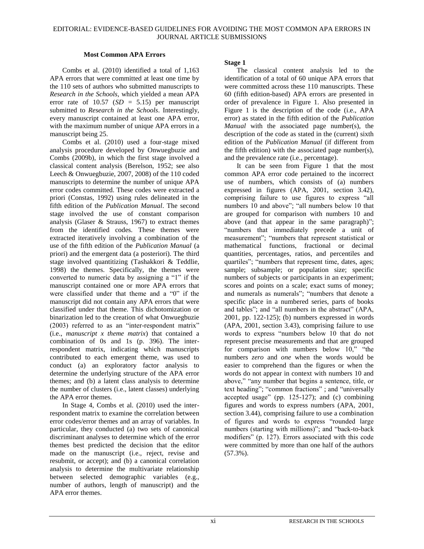#### **Most Common APA Errors**

Combs et al. (2010) identified a total of 1,163 APA errors that were committed at least one time by the 110 sets of authors who submitted manuscripts to *Research in the Schools*, which yielded a mean APA error rate of  $10.57$  (*SD* = 5.15) per manuscript submitted to *Research in the Schools*. Interestingly, every manuscript contained at least one APA error, with the maximum number of unique APA errors in a manuscript being 25.

Combs et al. (2010) used a four-stage mixed analysis procedure developed by Onwuegbuzie and Combs (2009b), in which the first stage involved a classical content analysis (Berelson, 1952; see also Leech & Onwuegbuzie, 2007, 2008) of the 110 coded manuscripts to determine the number of unique APA error codes committed. These codes were extracted a priori (Constas, 1992) using rules delineated in the fifth edition of the *Publication Manual*. The second stage involved the use of constant comparison analysis (Glaser & Strauss, 1967) to extract themes from the identified codes. These themes were extracted iteratively involving a combination of the use of the fifth edition of the *Publication Manual* (a priori) and the emergent data (a posteriori). The third stage involved quantitizing (Tashakkori & Teddlie, 1998) the themes. Specifically, the themes were converted to numeric data by assigning a  $\degree$ 1" if the manuscript contained one or more APA errors that were classified under that theme and a "0" if the manuscript did not contain any APA errors that were classified under that theme. This dichotomization or binarization led to the creation of what Onwuegbuzie  $(2003)$  referred to as an "inter-respondent matrix" (i.e., *manuscript x theme matrix*) that contained a combination of 0s and 1s (p. 396). The interrespondent matrix, indicating which manuscripts contributed to each emergent theme, was used to conduct (a) an exploratory factor analysis to determine the underlying structure of the APA error themes; and (b) a latent class analysis to determine the number of clusters (i.e., latent classes) underlying the APA error themes.

In Stage 4, Combs et al. (2010) used the interrespondent matrix to examine the correlation between error codes/error themes and an array of variables. In particular, they conducted (a) two sets of canonical discriminant analyses to determine which of the error themes best predicted the decision that the editor made on the manuscript (i.e., reject, revise and resubmit, or accept); and (b) a canonical correlation analysis to determine the multivariate relationship between selected demographic variables (e.g., number of authors, length of manuscript) and the APA error themes.

#### **Stage 1**

The classical content analysis led to the identification of a total of 60 unique APA errors that were committed across these 110 manuscripts. These 60 (fifth edition-based) APA errors are presented in order of prevalence in Figure 1. Also presented in Figure 1 is the description of the code (i.e., APA error) as stated in the fifth edition of the *Publication Manual* with the associated page number(s), the description of the code as stated in the (current) sixth edition of the *Publication Manual* (if different from the fifth edition) with the associated page number(s), and the prevalence rate (i.e., percentage).

It can be seen from Figure 1 that the most common APA error code pertained to the incorrect use of numbers, which consists of (a) numbers expressed in figures (APA, 2001, section 3.42), comprising failure to use figures to express "all numbers 10 and above"; "all numbers below 10 that are grouped for comparison with numbers 10 and above (and that appear in the same paragraph)"; "numbers that immediately precede a unit of measurement"; "numbers that represent statistical or mathematical functions, fractional or decimal quantities, percentages, ratios, and percentiles and quartiles"; "numbers that represent time, dates, ages; sample; subsample; or population size; specific numbers of subjects or participants in an experiment; scores and points on a scale; exact sums of money; and numerals as numerals"; "numbers that denote a specific place in a numbered series, parts of books and tables"; and "all numbers in the abstract" (APA, 2001, pp. 122-125); (b) numbers expressed in words (APA, 2001, section 3.43), comprising failure to use words to express "numbers below 10 that do not represent precise measurements and that are grouped for comparison with numbers below  $10$ ," "the numbers *zero* and *one* when the words would be easier to comprehend than the figures or when the words do not appear in context with numbers 10 and above," "any number that begins a sentence, title, or text heading"; "common fractions"; and "universally accepted usage" (pp.  $125-127$ ); and (c) combining figures and words to express numbers (APA, 2001, section 3.44), comprising failure to use a combination of figures and words to express "rounded large numbers (starting with millions)"; and "back-to-back modifiers" (p. 127). Errors associated with this code were committed by more than one half of the authors (57.3%).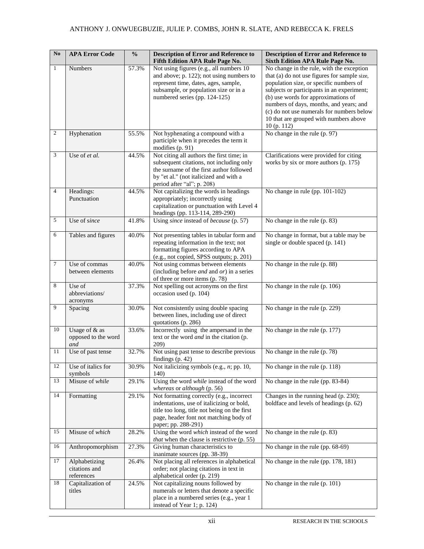# ANTHONY J. ONWUEGBUZIE, JULIE P. COMBS, JOHN R. SLATE, AND REBECCA K. FRELS

| $\mathbf{N}\mathbf{o}$ | <b>APA Error Code</b>                | $\frac{0}{0}$ | <b>Description of Error and Reference to</b><br>Fifth Edition APA Rule Page No.           | <b>Description of Error and Reference to</b><br><b>Sixth Edition APA Rule Page No.</b> |
|------------------------|--------------------------------------|---------------|-------------------------------------------------------------------------------------------|----------------------------------------------------------------------------------------|
| $\mathbf{1}$           | Numbers                              | 57.3%         | Not using figures (e.g., all numbers 10                                                   | No change in the rule, with the exception                                              |
|                        |                                      |               | and above; p. 122); not using numbers to<br>represent time, dates, ages, sample,          | that (a) do not use figures for sample size,                                           |
|                        |                                      |               | subsample, or population size or in a                                                     | population size, or specific numbers of<br>subjects or participants in an experiment;  |
|                        |                                      |               | numbered series (pp. 124-125)                                                             | (b) use words for approximations of                                                    |
|                        |                                      |               |                                                                                           | numbers of days, months, and years; and                                                |
|                        |                                      |               |                                                                                           | (c) do not use numerals for numbers below                                              |
|                        |                                      |               |                                                                                           | 10 that are grouped with numbers above<br>10 (p. 112)                                  |
| $\boldsymbol{2}$       | Hyphenation                          | 55.5%         | Not hyphenating a compound with a                                                         | No change in the rule (p. 97)                                                          |
|                        |                                      |               | participle when it precedes the term it<br>modifies (p. 91)                               |                                                                                        |
| 3                      | Use of et al.                        | 44.5%         | Not citing all authors the first time; in                                                 | Clarifications were provided for citing                                                |
|                        |                                      |               | subsequent citations, not including only                                                  | works by six or more authors (p. 175)                                                  |
|                        |                                      |               | the surname of the first author followed<br>by "et al." (not italicized and with a        |                                                                                        |
|                        |                                      |               | period after "al"; p. 208)                                                                |                                                                                        |
| $\overline{4}$         | Headings:                            | 44.5%         | Not capitalizing the words in headings                                                    | No change in rule (pp. 101-102)                                                        |
|                        | Punctuation                          |               | appropriately; incorrectly using                                                          |                                                                                        |
|                        |                                      |               | capitalization or punctuation with Level 4                                                |                                                                                        |
| 5                      | Use of since                         | 41.8%         | headings (pp. 113-114, 289-290)<br>Using since instead of because (p. 57)                 | No change in the rule (p. 83)                                                          |
|                        |                                      |               |                                                                                           |                                                                                        |
| 6                      | Tables and figures                   | 40.0%         | Not presenting tables in tabular form and                                                 | No change in format, but a table may be                                                |
|                        |                                      |               | repeating information in the text; not<br>formatting figures according to APA             | single or double spaced (p. 141)                                                       |
|                        |                                      |               | (e.g., not copied, SPSS outputs; p. 201)                                                  |                                                                                        |
| $\overline{7}$         | Use of commas                        | 40.0%         | Not using commas between elements                                                         | No change in the rule (p. 88)                                                          |
|                        | between elements                     |               | (including before $and$ and $or$ ) in a series                                            |                                                                                        |
|                        |                                      |               | of three or more items (p. 78)                                                            |                                                                                        |
| 8                      | Use of<br>abbreviations/             | 37.3%         | Not spelling out acronyms on the first<br>occasion used (p. 104)                          | No change in the rule (p. 106)                                                         |
|                        | acronyms                             |               |                                                                                           |                                                                                        |
| 9                      | Spacing                              | 30.0%         | Not consistently using double spacing                                                     | No change in the rule (p. 229)                                                         |
|                        |                                      |               | between lines, including use of direct                                                    |                                                                                        |
| 10                     |                                      |               | quotations (p. 286)                                                                       |                                                                                        |
|                        | Usage of & as<br>opposed to the word | 33.6%         | Incorrectly using the ampersand in the<br>text or the word <i>and</i> in the citation (p. | No change in the rule (p. 177)                                                         |
|                        | and                                  |               | 209)                                                                                      |                                                                                        |
| 11                     | Use of past tense                    | 32.7%         | Not using past tense to describe previous                                                 | No change in the rule (p. 78)                                                          |
| 12                     | Use of italics for                   | 30.9%         | findings $(p. 42)$<br>Not italicizing symbols (e.g., $n$ ; pp. 10,                        | No change in the rule (p. 118)                                                         |
|                        | symbols                              |               | 140)                                                                                      |                                                                                        |
| 13                     | Misuse of while                      | 29.1%         | Using the word while instead of the word<br>whereas or although (p. 56)                   | No change in the rule (pp. 83-84)                                                      |
| 14                     | Formatting                           | 29.1%         | Not formatting correctly (e.g., incorrect<br>indentations, use of italicizing or bold,    | Changes in the running head (p. 230);<br>boldface and levels of headings (p. 62)       |
|                        |                                      |               | title too long, title not being on the first                                              |                                                                                        |
|                        |                                      |               | page, header font not matching body of                                                    |                                                                                        |
|                        |                                      |               | paper; pp. 288-291)                                                                       |                                                                                        |
| 15                     | Misuse of which                      | 28.2%         | Using the word which instead of the word                                                  | No change in the rule (p. 83)                                                          |
| 16                     |                                      |               | <i>that</i> when the clause is restrictive (p. 55)                                        |                                                                                        |
|                        | Anthropomorphism                     | 27.3%         | Giving human characteristics to<br>inanimate sources (pp. 38-39)                          | No change in the rule (pp. 68-69)                                                      |
| 17                     | Alphabetizing                        | 26.4%         | Not placing all references in alphabetical                                                | No change in the rule (pp. 178, 181)                                                   |
|                        | citations and                        |               | order; not placing citations in text in                                                   |                                                                                        |
| 18                     | references<br>Capitalization of      | 24.5%         | alphabetical order (p. 219)<br>Not capitalizing nouns followed by                         | No change in the rule (p. 101)                                                         |
|                        | titles                               |               | numerals or letters that denote a specific                                                |                                                                                        |
|                        |                                      |               | place in a numbered series (e.g., year 1                                                  |                                                                                        |
|                        |                                      |               | instead of Year 1; p. 124)                                                                |                                                                                        |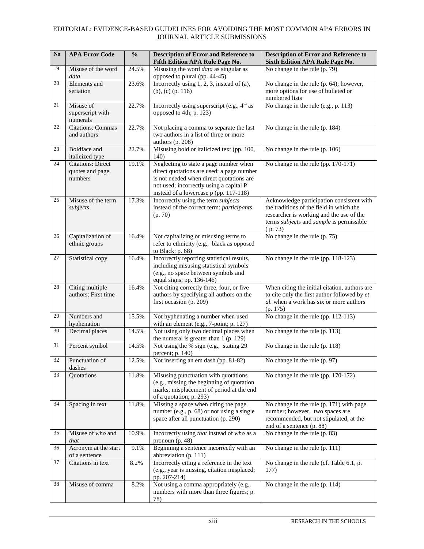| $\mathbf{N}\mathbf{o}$ | <b>APA Error Code</b>                                  | $\frac{0}{0}$ | <b>Description of Error and Reference to</b><br>Fifth Edition APA Rule Page No.                                                                                                                                      | <b>Description of Error and Reference to</b><br><b>Sixth Edition APA Rule Page No.</b>                                                                                                   |
|------------------------|--------------------------------------------------------|---------------|----------------------------------------------------------------------------------------------------------------------------------------------------------------------------------------------------------------------|------------------------------------------------------------------------------------------------------------------------------------------------------------------------------------------|
| 19                     | Misuse of the word<br>data                             | 24.5%         | Misusing the word <i>data</i> as singular as<br>opposed to plural (pp. 44-45)                                                                                                                                        | No change in the rule (p. 79)                                                                                                                                                            |
| 20                     | Elements and<br>seriation                              | 23.6%         | Incorrectly using 1, 2, 3, instead of (a),<br>(b), (c) (p. $116$ )                                                                                                                                                   | No change in the rule (p. 64); however,<br>more options for use of bulleted or<br>numbered lists                                                                                         |
| 21                     | Misuse of<br>superscript with<br>numerals              | 22.7%         | Incorrectly using superscript (e.g., 4 <sup>th</sup> as<br>opposed to 4th; p. 123)                                                                                                                                   | No change in the rule (e.g., p. 113)                                                                                                                                                     |
| 22                     | <b>Citations: Commas</b><br>and authors                | 22.7%         | Not placing a comma to separate the last<br>two authors in a list of three or more<br>authors (p. 208)                                                                                                               | No change in the rule (p. 184)                                                                                                                                                           |
| 23                     | Boldface and<br>italicized type                        | 22.7%         | Misusing bold or italicized text (pp. 100,<br>140)                                                                                                                                                                   | No change in the rule (p. 106)                                                                                                                                                           |
| 24                     | <b>Citations: Direct</b><br>quotes and page<br>numbers | 19.1%         | Neglecting to state a page number when<br>direct quotations are used; a page number<br>is not needed when direct quotations are<br>not used; incorrectly using a capital P<br>instead of a lowercase p (pp. 117-118) | No change in the rule (pp. 170-171)                                                                                                                                                      |
| 25                     | Misuse of the term<br>subjects                         | 17.3%         | Incorrectly using the term subjects<br>instead of the correct term: participants<br>(p. 70)                                                                                                                          | Acknowledge participation consistent with<br>the traditions of the field in which the<br>researcher is working and the use of the<br>terms subjects and sample is permissible<br>(p. 73) |
| 26                     | Capitalization of<br>ethnic groups                     | 16.4%         | Not capitalizing or misusing terms to<br>refer to ethnicity (e.g., black as opposed<br>to Black; p. 68)                                                                                                              | No change in the rule $(p. 75)$                                                                                                                                                          |
| 27                     | Statistical copy                                       | 16.4%         | Incorrectly reporting statistical results,<br>including misusing statistical symbols<br>(e.g., no space between symbols and<br>equal signs; pp. 136-146)                                                             | No change in the rule (pp. 118-123)                                                                                                                                                      |
| 28                     | Citing multiple<br>authors: First time                 | 16.4%         | Not citing correctly three, four, or five<br>authors by specifying all authors on the<br>first occasion (p. 209)                                                                                                     | When citing the initial citation, authors are<br>to cite only the first author followed by et<br>al. when a work has six or more authors<br>(p. 175)                                     |
| 29                     | Numbers and<br>hyphenation                             | 15.5%         | Not hyphenating a number when used<br>with an element (e.g., 7-point; p. 127)                                                                                                                                        | No change in the rule (pp. 112-113)                                                                                                                                                      |
| 30                     | Decimal places                                         | 14.5%         | Not using only two decimal places when<br>the numeral is greater than 1 (p. 129)                                                                                                                                     | No change in the rule (p. 113)                                                                                                                                                           |
| 31                     | Percent symbol                                         | 14.5%         | Not using the % sign (e.g., stating 29)<br>percent; p. 140)                                                                                                                                                          | No change in the rule (p. 118)                                                                                                                                                           |
|                        | 32 Punctuation of<br>dashes                            | 12.5%         | Not inserting an em dash (pp. 81-82)                                                                                                                                                                                 | No change in the rule $(p. 97)$                                                                                                                                                          |
| 33                     | Quotations                                             | 11.8%         | Misusing punctuation with quotations<br>(e.g., missing the beginning of quotation<br>marks, misplacement of period at the end<br>of a quotation; p. 293)                                                             | No change in the rule (pp. 170-172)                                                                                                                                                      |
| 34                     | Spacing in text                                        | 11.8%         | Missing a space when citing the page<br>number (e.g., p. 68) or not using a single<br>space after all punctuation (p. 290)                                                                                           | No change in the rule (p. 171) with page<br>number; however, two spaces are<br>recommended, but not stipulated, at the<br>end of a sentence (p. 88)                                      |
| 35                     | Misuse of who and<br>that                              | 10.9%         | Incorrectly using that instead of who as a<br>pronoun $(p. 48)$                                                                                                                                                      | No change in the rule (p. 83)                                                                                                                                                            |
| 36                     | Acronym at the start<br>of a sentence                  | 9.1%          | Beginning a sentence incorrectly with an<br>abbreviation (p. 111)                                                                                                                                                    | No change in the rule (p. 111)                                                                                                                                                           |
| 37                     | Citations in text                                      | 8.2%          | Incorrectly citing a reference in the text<br>(e.g., year is missing, citation misplaced;<br>pp. 207-214)                                                                                                            | No change in the rule (cf. Table 6.1, p.<br>177)                                                                                                                                         |
| 38                     | Misuse of comma                                        | 8.2%          | Not using a comma appropriately (e.g.,<br>numbers with more than three figures; p.<br>78)                                                                                                                            | No change in the rule (p. 114)                                                                                                                                                           |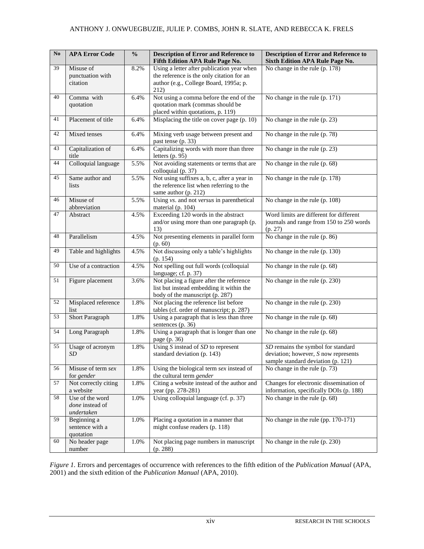| $\mathbf{No}$ | <b>APA Error Code</b>                            | $\frac{0}{0}$ | <b>Description of Error and Reference to</b><br>Fifth Edition APA Rule Page No.                                                           | <b>Description of Error and Reference to</b><br><b>Sixth Edition APA Rule Page No.</b>                             |
|---------------|--------------------------------------------------|---------------|-------------------------------------------------------------------------------------------------------------------------------------------|--------------------------------------------------------------------------------------------------------------------|
| 39            | Misuse of<br>punctuation with<br>citation        | 8.2%          | Using a letter after publication year when<br>the reference is the only citation for an<br>author (e.g., College Board, 1995a; p.<br>212) | No change in the rule (p. 178)                                                                                     |
| 40            | Comma with<br>quotation                          | 6.4%          | Not using a comma before the end of the<br>quotation mark (commas should be<br>placed within quotations, p. 119)                          | No change in the rule (p. 171)                                                                                     |
| 41            | Placement of title                               | 6.4%          | Misplacing the title on cover page (p. 10)                                                                                                | No change in the rule (p. 23)                                                                                      |
| 42            | Mixed tenses                                     | 6.4%          | Mixing verb usage between present and<br>past tense (p. 33)                                                                               | No change in the rule (p. 78)                                                                                      |
| 43            | Capitalization of<br>title                       | 6.4%          | Capitalizing words with more than three<br>letters $(p. 95)$                                                                              | No change in the rule (p. 23)                                                                                      |
| 44            | Colloquial language                              | 5.5%          | Not avoiding statements or terms that are<br>colloquial (p. 37)                                                                           | No change in the rule (p. 68)                                                                                      |
| 45            | Same author and<br>lists                         | 5.5%          | Not using suffixes a, b, c, after a year in<br>the reference list when referring to the<br>same author (p. 212)                           | No change in the rule (p. 178)                                                                                     |
| 46            | Misuse of<br>abbreviation                        | 5.5%          | Using vs. and not versus in parenthetical<br>material (p. 104)                                                                            | No change in the rule (p. 108)                                                                                     |
| 47            | Abstract                                         | 4.5%          | Exceeding 120 words in the abstract<br>and/or using more than one paragraph (p.<br>13)                                                    | Word limits are different for different<br>journals and range from 150 to 250 words<br>(p. 27)                     |
| 48            | Parallelism                                      | 4.5%          | Not presenting elements in parallel form<br>(p. 60)                                                                                       | No change in the rule (p. 86)                                                                                      |
| 49            | Table and highlights                             | 4.5%          | Not discussing only a table's highlights<br>(p. 154)                                                                                      | No change in the rule (p. 130)                                                                                     |
| 50            | Use of a contraction                             | 4.5%          | Not spelling out full words (colloquial<br>language; cf. p. 37)                                                                           | No change in the rule (p. 68)                                                                                      |
| 51            | Figure placement                                 | 3.6%          | Not placing a figure after the reference<br>list but instead embedding it within the<br>body of the manuscript (p. 287)                   | No change in the rule (p. 230)                                                                                     |
| 52            | Misplaced reference<br>list                      | 1.8%          | Not placing the reference list before<br>tables (cf. order of manuscript; p. 287)                                                         | No change in the rule (p. 230)                                                                                     |
| 53            | <b>Short Paragraph</b>                           | 1.8%          | Using a paragraph that is less than three<br>sentences (p. 36)                                                                            | No change in the rule (p. 68)                                                                                      |
| 54            | Long Paragraph                                   | 1.8%          | Using a paragraph that is longer than one<br>page (p. 36)                                                                                 | No change in the rule (p. 68)                                                                                      |
| 55            | Usage of acronym<br>SD                           | 1.8%          | Using $S$ instead of $SD$ to represent<br>standard deviation (p. 143)                                                                     | SD remains the symbol for standard<br>deviation; however, $S$ now represents<br>sample standard deviation (p. 121) |
| 56            | Misuse of term sex<br>for gender                 | 1.8%          | Using the biological term sex instead of<br>the cultural term gender                                                                      | No change in the rule (p. 73)                                                                                      |
| 57            | Not correctly citing<br>a website                | 1.8%          | Citing a website instead of the author and<br>year (pp. 278-281)                                                                          | Changes for electronic dissemination of<br>information, specifically DOIs (p. 188)                                 |
| 58            | Use of the word<br>done instead of<br>undertaken | 1.0%          | Using colloquial language (cf. p. 37)                                                                                                     | No change in the rule (p. 68)                                                                                      |
| 59            | Beginning a<br>sentence with a<br>quotation      | 1.0%          | Placing a quotation in a manner that<br>might confuse readers (p. 118)                                                                    | No change in the rule (pp. 170-171)                                                                                |
| 60            | No header page<br>number                         | 1.0%          | Not placing page numbers in manuscript<br>(p. 288)                                                                                        | No change in the rule (p. 230)                                                                                     |

*Figure 1.* Errors and percentages of occurrence with references to the fifth edition of the *Publication Manual* (APA, 2001) and the sixth edition of the *Publication Manual* (APA, 2010).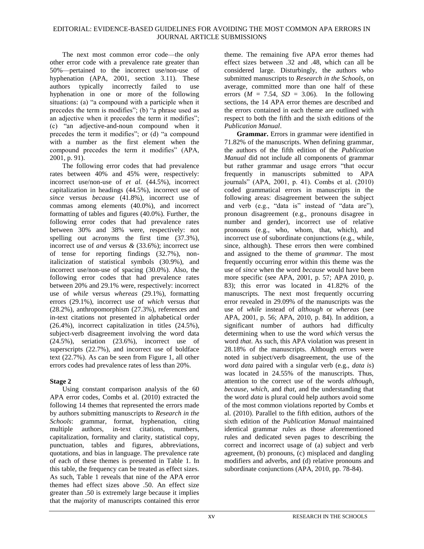The next most common error code—the only other error code with a prevalence rate greater than 50%—pertained to the incorrect use/non-use of hyphenation (APA, 2001, section 3.11). These authors typically incorrectly failed to use hyphenation in one or more of the following situations: (a)  $a$  compound with a participle when it precedes the term is modifies"; (b) "a phrase used as an adjective when it precedes the term it modifies";  $(c)$  "an adjective-and-noun compound when it precedes the term it modifies"; or  $(d)$  "a compound with a number as the first element when the compound precedes the term it modifies" (APA, 2001, p. 91).

The following error codes that had prevalence rates between 40% and 45% were, respectively: incorrect use/non-use of *et al.* (44.5%), incorrect capitalization in headings (44.5%), incorrect use of *since* versus *because* (41.8%), incorrect use of commas among elements (40.0%), and incorrect formatting of tables and figures (40.0%). Further, the following error codes that had prevalence rates between 30% and 38% were, respectively: not spelling out acronyms the first time (37.3%), incorrect use of *and* versus *&* (33.6%); incorrect use of tense for reporting findings (32.7%), nonitalicization of statistical symbols (30.9%), and incorrect use/non-use of spacing (30.0%). Also, the following error codes that had prevalence rates between 20% and 29.1% were, respectively: incorrect use of *while* versus *whereas* (29.1%), formatting errors (29.1%), incorrect use of *which* versus *that* (28.2%), anthropomorphism (27.3%), references and in-text citations not presented in alphabetical order (26.4%), incorrect capitalization in titles (24.5%), subject-verb disagreement involving the word data (24.5%), seriation (23.6%), incorrect use of superscripts (22.7%), and incorrect use of boldface text (22.7%). As can be seen from Figure 1, all other errors codes had prevalence rates of less than 20%.

### **Stage 2**

Using constant comparison analysis of the 60 APA error codes, Combs et al. (2010) extracted the following 14 themes that represented the errors made by authors submitting manuscripts to *Research in the Schools*: grammar, format, hyphenation, citing multiple authors, in-text citations, numbers, capitalization, formality and clarity, statistical copy, punctuation, tables and figures, abbreviations, quotations, and bias in language. The prevalence rate of each of these themes is presented in Table 1. In this table, the frequency can be treated as effect sizes. As such, Table 1 reveals that nine of the APA error themes had effect sizes above .50. An effect size greater than .50 is extremely large because it implies that the majority of manuscripts contained this error theme. The remaining five APA error themes had effect sizes between .32 and .48, which can all be considered large. Disturbingly, the authors who submitted manuscripts to *Research in the Schools*, on average, committed more than one half of these errors ( $M = 7.54$ ,  $SD = 3.06$ ). In the following sections, the 14 APA error themes are described and the errors contained in each theme are outlined with respect to both the fifth and the sixth editions of the *Publication Manual*.

**Grammar.** Errors in grammar were identified in 71.82% of the manuscripts. When defining grammar, the authors of the fifth edition of the *Publication Manual* did not include all components of grammar but rather grammar and usage errors "that occur frequently in manuscripts submitted to APA journals‖ (APA, 2001, p. 41). Combs et al. (2010) coded grammatical errors in manuscripts in the following areas: disagreement between the subject and verb (e.g., "data is" instead of "data are"), pronoun disagreement (e.g., pronouns disagree in number and gender), incorrect use of relative pronouns (e.g., who, whom, that, which), and incorrect use of subordinate conjunctions (e.g., while, since, although). These errors then were combined and assigned to the theme of *grammar*. The most frequently occurring error within this theme was the use of *since* when the word *because* would have been more specific (see APA, 2001, p. 57; APA 2010, p. 83); this error was located in 41.82% of the manuscripts. The next most frequently occurring error revealed in 29.09% of the manuscripts was the use of *while* instead of *although* or *whereas* (see APA, 2001, p. 56; APA, 2010, p. 84). In addition, a significant number of authors had difficulty determining when to use the word *which* versus the word *that*. As such, this APA violation was present in 28.18% of the manuscripts. Although errors were noted in subject/verb disagreement, the use of the word *data* paired with a singular verb (e.g., *data is*) was located in 24.55% of the manuscripts. Thus, attention to the correct use of the words *although, because, which*, and *that*, and the understanding that the word *data* is plural could help authors avoid some of the most common violations reported by Combs et al. (2010). Parallel to the fifth edition, authors of the sixth edition of the *Publication Manual* maintained identical grammar rules as those aforementioned rules and dedicated seven pages to describing the correct and incorrect usage of (a) subject and verb agreement, (b) pronouns, (c) misplaced and dangling modifiers and adverbs, and (d) relative pronouns and subordinate conjunctions (APA, 2010, pp. 78-84).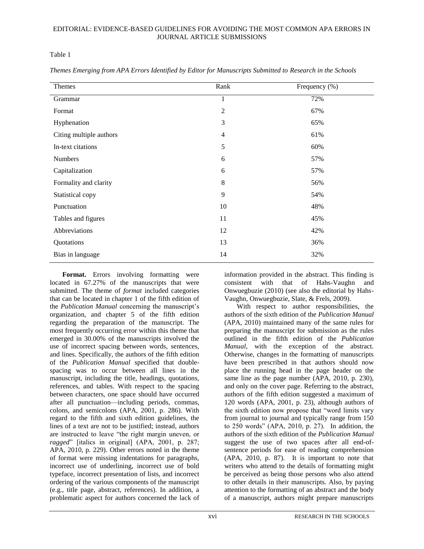Table 1

| Themes                  | Rank           | Frequency (%) |
|-------------------------|----------------|---------------|
| Grammar                 | 1              | 72%           |
| Format                  | $\overline{2}$ | 67%           |
| Hyphenation             | 3              | 65%           |
| Citing multiple authors | $\overline{4}$ | 61%           |
| In-text citations       | 5              | 60%           |
| <b>Numbers</b>          | 6              | 57%           |
| Capitalization          | 6              | 57%           |
| Formality and clarity   | $\,8\,$        | 56%           |
| Statistical copy        | 9              | 54%           |
| Punctuation             | 10             | 48%           |
| Tables and figures      | 11             | 45%           |
| Abbreviations           | 12             | 42%           |
| Quotations              | 13             | 36%           |
| Bias in language        | 14             | 32%           |

*Themes Emerging from APA Errors Identified by Editor for Manuscripts Submitted to Research in the Schools*

Format. Errors involving formatting were located in 67.27% of the manuscripts that were submitted. The theme of *format* included categories that can be located in chapter 1 of the fifth edition of the *Publication Manual* concerning the manuscript's organization, and chapter 5 of the fifth edition regarding the preparation of the manuscript. The most frequently occurring error within this theme that emerged in 30.00% of the manuscripts involved the use of incorrect spacing between words, sentences, and lines. Specifically, the authors of the fifth edition of the *Publication Manual* specified that doublespacing was to occur between all lines in the manuscript, including the title, headings, quotations, references, and tables. With respect to the spacing between characters, one space should have occurred after all punctuation—including periods, commas, colons, and semicolons (APA, 2001, p. 286). With regard to the fifth and sixth edition guidelines, the lines of a text are not to be justified; instead, authors are instructed to leave "the right margin uneven, or ragged" [italics in original] (APA, 2001, p. 287; APA, 2010, p. 229). Other errors noted in the theme of format were missing indentations for paragraphs, incorrect use of underlining, incorrect use of bold typeface, incorrect presentation of lists, and incorrect ordering of the various components of the manuscript (e.g., title page, abstract, references). In addition, a problematic aspect for authors concerned the lack of

information provided in the abstract. This finding is consistent with that of Hahs-Vaughn and Onwuegbuzie (2010) (see also the editorial by Hahs-Vaughn, Onwuegbuzie, Slate, & Frels, 2009).

With respect to author responsibilities, the authors of the sixth edition of the *Publication Manual* (APA, 2010) maintained many of the same rules for preparing the manuscript for submission as the rules outlined in the fifth edition of the *Publication Manual*, with the exception of the abstract. Otherwise, changes in the formatting of manuscripts have been prescribed in that authors should now place the running head in the page header on the same line as the page number (APA, 2010, p. 230), and only on the cover page. Referring to the abstract, authors of the fifth edition suggested a maximum of 120 words (APA, 2001, p. 23), although authors of the sixth edition now propose that "word limits vary from journal to journal and typically range from 150 to  $250$  words" (APA,  $2010$ , p.  $27$ ). In addition, the authors of the sixth edition of the *Publication Manual* suggest the use of two spaces after all end-ofsentence periods for ease of reading comprehension (APA, 2010, p. 87). It is important to note that writers who attend to the details of formatting might be perceived as being those persons who also attend to other details in their manuscripts. Also, by paying attention to the formatting of an abstract and the body of a manuscript, authors might prepare manuscripts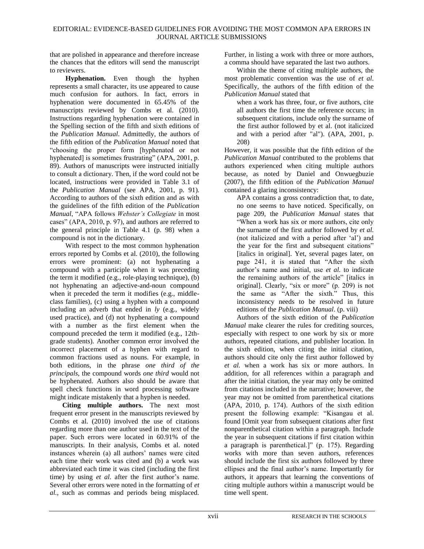that are polished in appearance and therefore increase the chances that the editors will send the manuscript to reviewers.

**Hyphenation.** Even though the hyphen represents a small character, its use appeared to cause much confusion for authors. In fact, errors in hyphenation were documented in 65.45% of the manuscripts reviewed by Combs et al. (2010). Instructions regarding hyphenation were contained in the Spelling section of the fifth and sixth editions of the *Publication Manual*. Admittedly, the authors of the fifth edition of the *Publication Manual* noted that ―choosing the proper form [hyphenated or not hyphenated] is sometimes frustrating" (APA, 2001, p. 89). Authors of manuscripts were instructed initially to consult a dictionary. Then, if the word could not be located, instructions were provided in Table 3.1 of the *Publication Manual* (see APA, 2001, p. 91). According to authors of the sixth edition and as with the guidelines of the fifth edition of the *Publication Manual*, "APA follows *Webster's Collegiate* in most cases" (APA, 2010, p. 97), and authors are referred to the general principle in Table 4.1 (p. 98) when a compound is not in the dictionary.

With respect to the most common hyphenation errors reported by Combs et al. (2010), the following errors were prominent: (a) not hyphenating a compound with a participle when it was preceding the term it modified (e.g., role-playing technique), (b) not hyphenating an adjective-and-noun compound when it preceded the term it modifies (e.g., middleclass families), (c) using a hyphen with a compound including an adverb that ended in *ly* (e.g., widely used practice), and (d) not hyphenating a compound with a number as the first element when the compound preceded the term it modified (e.g., 12thgrade students). Another common error involved the incorrect placement of a hyphen with regard to common fractions used as nouns. For example, in both editions, in the phrase *one third of the principals*, the compound words *one third* would not be hyphenated. Authors also should be aware that spell check functions in word processing software might indicate mistakenly that a hyphen is needed.

**Citing multiple authors.** The next most frequent error present in the manuscripts reviewed by Combs et al. (2010) involved the use of citations regarding more than one author used in the text of the paper. Such errors were located in 60.91% of the manuscripts. In their analysis, Combs et al. noted instances wherein (a) all authors' names were cited each time their work was cited and (b) a work was abbreviated each time it was cited (including the first time) by using *et al*. after the first author's name. Several other errors were noted in the formatting of *et al.*, such as commas and periods being misplaced. Further, in listing a work with three or more authors, a comma should have separated the last two authors.

Within the theme of citing multiple authors, the most problematic convention was the use of *et al*. Specifically, the authors of the fifth edition of the *Publication Manual* stated that

when a work has three, four, or five authors, cite all authors the first time the reference occurs; in subsequent citations, include only the surname of the first author followed by et al. (not italicized and with a period after "al"). (APA, 2001, p. 208)

However, it was possible that the fifth edition of the *Publication Manual* contributed to the problems that authors experienced when citing multiple authors because, as noted by Daniel and Onwuegbuzie (2007), the fifth edition of the *Publication Manual* contained a glaring inconsistency:

APA contains a gross contradiction that, to date, no one seems to have noticed. Specifically, on page 209, the *Publication Manual* states that ―When a work has six or more authors, cite only the surname of the first author followed by *et al.*  (not italicized and with a period after ‗al') and the year for the first and subsequent citations" [italics in original]. Yet, several pages later, on page 241, it is stated that "After the sixth" author's name and initial, use *et al.* to indicate the remaining authors of the article" [italics in original]. Clearly, "six or more" (p. 209) is not the same as "After the sixth." Thus, this inconsistency needs to be resolved in future editions of the *Publication Manual*. (p. viii)

Authors of the sixth edition of the *Publication Manual* make clearer the rules for crediting sources, especially with respect to one work by six or more authors, repeated citations, and publisher location. In the sixth edition, when citing the initial citation, authors should cite only the first author followed by *et al.* when a work has six or more authors. In addition, for all references within a paragraph and after the initial citation, the year may only be omitted from citations included in the narrative; however, the year may not be omitted from parenthetical citations (APA, 2010, p. 174). Authors of the sixth edition present the following example: "Kisangau et al. found [Omit year from subsequent citations after first nonparenthetical citation within a paragraph. Include the year in subsequent citations if first citation within a paragraph is parenthetical.]"  $(p. 175)$ . Regarding works with more than seven authors, references should include the first six authors followed by three ellipses and the final author's name. Importantly for authors, it appears that learning the conventions of citing multiple authors within a manuscript would be time well spent.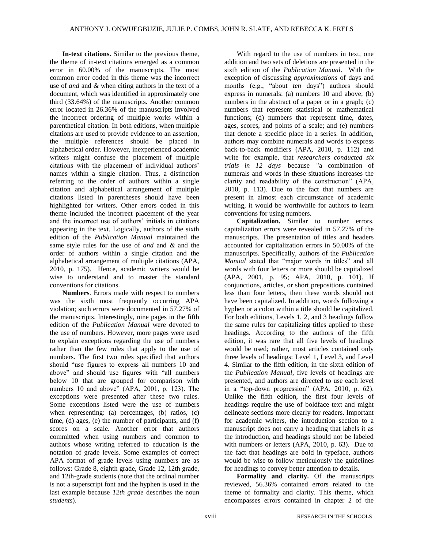**In-text citations.** Similar to the previous theme, the theme of in-text citations emerged as a common error in 60.00% of the manuscripts. The most common error coded in this theme was the incorrect use of *and* and *&* when citing authors in the text of a document, which was identified in approximately one third (33.64%) of the manuscripts. Another common error located in 26.36% of the manuscripts involved the incorrect ordering of multiple works within a parenthetical citation. In both editions, when multiple citations are used to provide evidence to an assertion, the multiple references should be placed in alphabetical order. However, inexperienced academic writers might confuse the placement of multiple citations with the placement of individual authors' names within a single citation. Thus, a distinction referring to the order of authors within a single citation and alphabetical arrangement of multiple citations listed in parentheses should have been highlighted for writers. Other errors coded in this theme included the incorrect placement of the year and the incorrect use of authors' initials in citations appearing in the text. Logically, authors of the sixth edition of the *Publication Manual* maintained the same style rules for the use of *and* and *&* and the order of authors within a single citation and the alphabetical arrangement of multiple citations (APA, 2010, p. 175). Hence, academic writers would be wise to understand and to master the standard conventions for citations.

**Numbers***.* Errors made with respect to numbers was the sixth most frequently occurring APA violation; such errors were documented in 57.27% of the manuscripts. Interestingly, nine pages in the fifth edition of the *Publication Manual* were devoted to the use of numbers. However, more pages were used to explain exceptions regarding the use of numbers rather than the few rules that apply to the use of numbers. The first two rules specified that authors should "use figures to express all numbers 10 and above" and should use figures with "all numbers below 10 that are grouped for comparison with numbers 10 and above" (APA, 2001, p. 123). The exceptions were presented after these two rules. Some exceptions listed were the use of numbers when representing: (a) percentages, (b) ratios, (c) time, (d) ages, (e) the number of participants, and (f) scores on a scale. Another error that authors committed when using numbers and common to authors whose writing referred to education is the notation of grade levels. Some examples of correct APA format of grade levels using numbers are as follows: Grade 8, eighth grade, Grade 12, 12th grade, and 12th-grade students (note that the ordinal number is not a superscript font and the hyphen is used in the last example because *12th grade* describes the noun *students*).

With regard to the use of numbers in text, one addition and two sets of deletions are presented in the sixth edition of the *Publication Manual*. With the exception of discussing *approximations* of days and months (e.g., "about *ten* days") authors should express in numerals: (a) numbers 10 and above; (b) numbers in the abstract of a paper or in a graph; (c) numbers that represent statistical or mathematical functions; (d) numbers that represent time, dates, ages, scores, and points of a scale; and (e) numbers that denote a specific place in a series. In addition, authors may combine numerals and words to express back-to-back modifiers (APA, 2010, p. 112) and write for example, that *researchers conducted six trials in 12 days*—because *"*a combination of numerals and words in these situations increases the clarity and readability of the construction" (APA, 2010, p. 113). Due to the fact that numbers are present in almost each circumstance of academic writing, it would be worthwhile for authors to learn conventions for using numbers.

**Capitalization.** Similar to number errors, capitalization errors were revealed in 57.27% of the manuscripts. The presentation of titles and headers accounted for capitalization errors in 50.00% of the manuscripts. Specifically, authors of the *Publication Manual* stated that "major words in titles" and all words with four letters or more should be capitalized (APA, 2001, p. 95; APA, 2010, p. 101). If conjunctions, articles, or short prepositions contained less than four letters, then these words should not have been capitalized. In addition, words following a hyphen or a colon within a title should be capitalized. For both editions, Levels 1, 2, and 3 headings follow the same rules for capitalizing titles applied to these headings. According to the authors of the fifth edition, it was rare that all five levels of headings would be used; rather, most articles contained only three levels of headings: Level 1, Level 3, and Level 4. Similar to the fifth edition, in the sixth edition of the *Publication Manual*, five levels of headings are presented, and authors are directed to use each level in a "top-down progression" (APA, 2010, p. 62). Unlike the fifth edition, the first four levels of headings require the use of boldface text and might delineate sections more clearly for readers. Important for academic writers, the introduction section to a manuscript does not carry a heading that labels it as the introduction, and headings should not be labeled with numbers or letters (APA, 2010, p. 63). Due to the fact that headings are bold in typeface, authors would be wise to follow meticulously the guidelines for headings to convey better attention to details.

**Formality and clarity.** Of the manuscripts reviewed, 56.36% contained errors related to the theme of formality and clarity. This theme, which encompasses errors contained in chapter 2 of the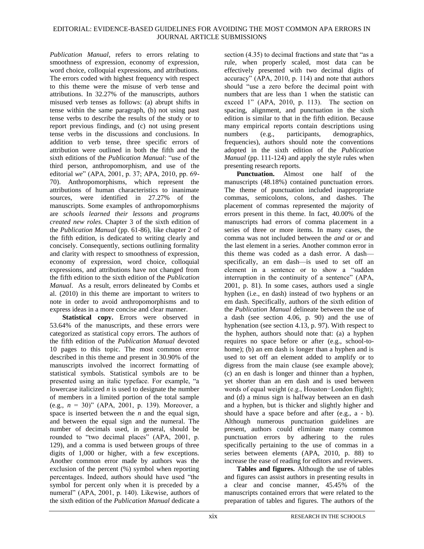*Publication Manual*, refers to errors relating to smoothness of expression, economy of expression, word choice, colloquial expressions, and attributions. The errors coded with highest frequency with respect to this theme were the misuse of verb tense and attributions. In 32.27% of the manuscripts, authors misused verb tenses as follows: (a) abrupt shifts in tense within the same paragraph, (b) not using past tense verbs to describe the results of the study or to report previous findings, and (c) not using present tense verbs in the discussions and conclusions. In addition to verb tense, three specific errors of attribution were outlined in both the fifth and the sixth editions of the *Publication Manual*: "use of the third person, anthropomorphism, and use of the editorial *we*" (APA, 2001, p. 37; APA, 2010, pp. 69-70). Anthropomorphisms, which represent the attributions of human characteristics to inanimate sources, were identified in 27.27% of the manuscripts. Some examples of anthropomorphisms are *schools learned their lessons* and *programs created new roles*. Chapter 3 of the sixth edition of the *Publication Manual* (pp. 61-86), like chapter 2 of the fifth edition, is dedicated to writing clearly and concisely. Consequently, sections outlining formality and clarity with respect to smoothness of expression, economy of expression, word choice, colloquial expressions, and attributions have not changed from the fifth edition to the sixth edition of the *Publication Manual*. As a result, errors delineated by Combs et al. (2010) in this theme are important to writers to note in order to avoid anthropomorphisms and to express ideas in a more concise and clear manner.

**Statistical copy.** Errors were observed in 53.64% of the manuscripts, and these errors were categorized as statistical copy errors. The authors of the fifth edition of the *Publication Manual* devoted 10 pages to this topic. The most common error described in this theme and present in 30.90% of the manuscripts involved the incorrect formatting of statistical symbols. Statistical symbols are to be presented using an italic typeface. For example, "a lowercase italicized *n* is used to designate the number of members in a limited portion of the total sample (e.g.,  $n = 30$ )" (APA, 2001, p. 139). Moreover, a space is inserted between the *n* and the equal sign, and between the equal sign and the numeral. The number of decimals used, in general, should be rounded to "two decimal places" (APA, 2001, p. 129), and a comma is used between groups of three digits of 1,000 or higher, with a few exceptions. Another common error made by authors was the exclusion of the percent (%) symbol when reporting percentages. Indeed, authors should have used "the symbol for percent only when it is preceded by a numeral" (APA, 2001, p. 140). Likewise, authors of the sixth edition of the *Publication Manual* dedicate a

section  $(4.35)$  to decimal fractions and state that "as a rule, when properly scaled, most data can be effectively presented with two decimal digits of accuracy" ( $APA$ ,  $2010$ , p. 114) and note that authors should "use a zero before the decimal point with numbers that are less than 1 when the statistic can exceed 1" (APA, 2010, p. 113). The section on spacing, alignment, and punctuation in the sixth edition is similar to that in the fifth edition. Because many empirical reports contain descriptions using numbers (e.g., participants, demographics, frequencies), authors should note the conventions adopted in the sixth edition of the *Publication Manual* (pp. 111-124) and apply the style rules when presenting research reports.

**Punctuation.** Almost one half of the manuscripts (48.18%) contained punctuation errors. The theme of punctuation included inappropriate commas, semicolons, colons, and dashes. The placement of commas represented the majority of errors present in this theme. In fact, 40.00% of the manuscripts had errors of comma placement in a series of three or more items. In many cases, the comma was not included between the *and* or *or* and the last element in a series. Another common error in this theme was coded as a dash error. A dash specifically, an em dash—is used to set off an element in a sentence or to show a "sudden" interruption in the continuity of a sentence" (APA, 2001, p. 81). In some cases, authors used a single hyphen (i.e., en dash) instead of two hyphens or an em dash. Specifically, authors of the sixth edition of the *Publication Manual* delineate between the use of a dash (see section 4.06, p. 90) and the use of hyphenation (see section  $4.13$ , p. 97). With respect to the hyphen, authors should note that: (a) a hyphen requires no space before or after (e.g., school-tohome); (b) an em dash is longer than a hyphen and is used to set off an element added to amplify or to digress from the main clause (see example above); (c) an en dash is longer and thinner than a hyphen, yet shorter than an em dash and is used between words of equal weight (e.g., Houston−London flight); and (d) a minus sign is halfway between an en dash and a hyphen, but is thicker and slightly higher and should have a space before and after (e.g., a - b). Although numerous punctuation guidelines are present, authors could eliminate many common punctuation errors by adhering to the rules specifically pertaining to the use of commas in a series between elements (APA, 2010, p. 88) to increase the ease of reading for editors and reviewers.

**Tables and figures.** Although the use of tables and figures can assist authors in presenting results in a clear and concise manner, 45.45% of the manuscripts contained errors that were related to the preparation of tables and figures. The authors of the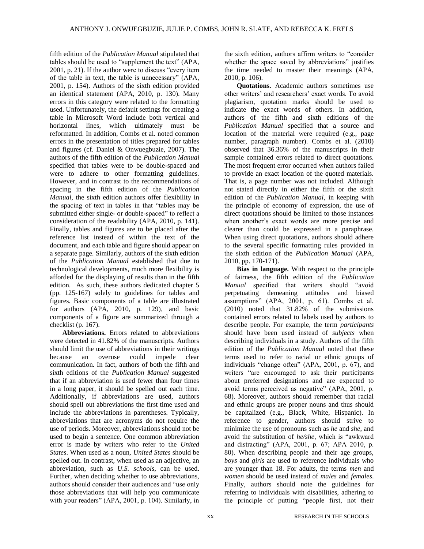fifth edition of the *Publication Manual* stipulated that tables should be used to "supplement the text" (APA,  $2001$ , p. 21). If the author were to discuss "every item of the table in text, the table is unnecessary" (APA, 2001, p. 154). Authors of the sixth edition provided an identical statement (APA, 2010, p. 130). Many errors in this category were related to the formatting used. Unfortunately, the default settings for creating a table in Microsoft Word include both vertical and horizontal lines, which ultimately must be reformatted. In addition, Combs et al. noted common errors in the presentation of titles prepared for tables and figures (cf. Daniel & Onwuegbuzie, 2007). The authors of the fifth edition of the *Publication Manual*  specified that tables were to be double-spaced and were to adhere to other formatting guidelines. However, and in contrast to the recommendations of spacing in the fifth edition of the *Publication Manual*, the sixth edition authors offer flexibility in the spacing of text in tables in that "tables may be submitted either single- or double-spaced" to reflect a consideration of the readability (APA, 2010, p. 141). Finally, tables and figures are to be placed after the reference list instead of within the text of the document, and each table and figure should appear on a separate page. Similarly, authors of the sixth edition of the *Publication Manual* established that due to technological developments, much more flexibility is afforded for the displaying of results than in the fifth edition. As such, these authors dedicated chapter 5 (pp. 125-167) solely to guidelines for tables and figures. Basic components of a table are illustrated for authors (APA, 2010, p. 129), and basic components of a figure are summarized through a checklist (p. 167).

**Abbreviations.** Errors related to abbreviations were detected in 41.82% of the manuscripts. Authors should limit the use of abbreviations in their writings because an overuse could impede clear communication. In fact, authors of both the fifth and sixth editions of the *Publication Manual* suggested that if an abbreviation is used fewer than four times in a long paper, it should be spelled out each time. Additionally, if abbreviations are used, authors should spell out abbreviations the first time used and include the abbreviations in parentheses. Typically, abbreviations that are acronyms do not require the use of periods. Moreover, abbreviations should not be used to begin a sentence. One common abbreviation error is made by writers who refer to the *United States*. When used as a noun, *United States* should be spelled out. In contrast, when used as an adjective, an abbreviation, such as *U.S. schools*, can be used. Further, when deciding whether to use abbreviations, authors should consider their audiences and "use only those abbreviations that will help you communicate with your readers" (APA, 2001, p. 104). Similarly, in the sixth edition, authors affirm writers to "consider whether the space saved by abbreviations" justifies the time needed to master their meanings (APA, 2010, p. 106).

**Quotations.** Academic authors sometimes use other writers' and researchers' exact words. To avoid plagiarism, quotation marks should be used to indicate the exact words of others. In addition, authors of the fifth and sixth editions of the *Publication Manual* specified that a source and location of the material were required (e.g., page number, paragraph number). Combs et al. (2010) observed that 36.36% of the manuscripts in their sample contained errors related to direct quotations. The most frequent error occurred when authors failed to provide an exact location of the quoted materials. That is, a page number was not included. Although not stated directly in either the fifth or the sixth edition of the *Publication Manual*, in keeping with the principle of economy of expression, the use of direct quotations should be limited to those instances when another's exact words are more precise and clearer than could be expressed in a paraphrase. When using direct quotations, authors should adhere to the several specific formatting rules provided in the sixth edition of the *Publication Manual* (APA, 2010, pp. 170-171).

**Bias in language.** With respect to the principle of fairness, the fifth edition of the *Publication Manual* specified that writers should "avoid perpetuating demeaning attitudes and biased assumptions" (APA, 2001, p. 61). Combs et al. (2010) noted that 31.82% of the submissions contained errors related to labels used by authors to describe people. For example, the term *participants* should have been used instead of *subjects* when describing individuals in a study. Authors of the fifth edition of the *Publication Manual* noted that these terms used to refer to racial or ethnic groups of individuals "change often" (APA, 2001, p. 67), and writers "are encouraged to ask their participants about preferred designations and are expected to avoid terms perceived as negative" (APA, 2001, p. 68). Moreover, authors should remember that racial and ethnic groups are proper nouns and thus should be capitalized (e.g., Black, White, Hispanic). In reference to gender, authors should strive to minimize the use of pronouns such as *he* and *she*, and avoid the substitution of *he/she*, which is "awkward and distracting" (APA, 2001, p. 67; APA 2010, p. 80). When describing people and their age groups, *boys* and *girls* are used to reference individuals who are younger than 18. For adults, the terms *men* and *women* should be used instead of *males* and *females*. Finally, authors should note the guidelines for referring to individuals with disabilities, adhering to the principle of putting "people first, not their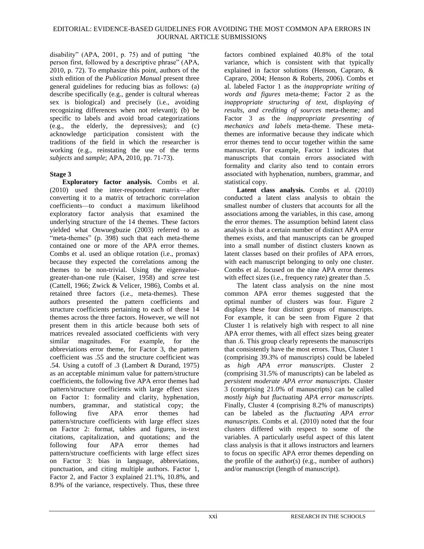disability" (APA, 2001, p. 75) and of putting  $\degree$  the person first, followed by a descriptive phrase" (APA, 2010, p. 72). To emphasize this point, authors of the sixth edition of the *Publication Manual* present three general guidelines for reducing bias as follows: (a) describe specifically (e.g., gender is cultural whereas sex is biological) and precisely (i.e., avoiding recognizing differences when not relevant); (b) be specific to labels and avoid broad categorizations (e.g., the elderly, the depressives); and (c) acknowledge participation consistent with the traditions of the field in which the researcher is working (e.g., reinstating the use of the terms *subjects* and *sample*; APA, 2010, pp. 71-73).

### **Stage 3**

**Exploratory factor analysis.** Combs et al. (2010) used the inter-respondent matrix—after converting it to a matrix of tetrachoric correlation coefficients—to conduct a maximum likelihood exploratory factor analysis that examined the underlying structure of the 14 themes. These factors yielded what Onwuegbuzie (2003) referred to as "meta-themes" (p. 398) such that each meta-theme contained one or more of the APA error themes. Combs et al. used an oblique rotation (i.e., promax) because they expected the correlations among the themes to be non-trivial. Using the eigenvaluegreater-than-one rule (Kaiser, 1958) and *scree* test (Cattell, 1966; Zwick & Velicer, 1986), Combs et al. retained three factors (i.e., meta-themes). These authors presented the pattern coefficients and structure coefficients pertaining to each of these 14 themes across the three factors. However, we will not present them in this article because both sets of matrices revealed associated coefficients with very similar magnitudes. For example, for the abbreviations error theme, for Factor 3, the pattern coefficient was .55 and the structure coefficient was .54. Using a cutoff of .3 (Lambert & Durand, 1975) as an acceptable minimum value for pattern/structure coefficients, the following five APA error themes had pattern/structure coefficients with large effect sizes on Factor 1: formality and clarity, hyphenation, numbers, grammar, and statistical copy; the following five APA error themes had pattern/structure coefficients with large effect sizes on Factor 2: format, tables and figures, in-text citations, capitalization, and quotations; and the following four APA error themes had pattern/structure coefficients with large effect sizes on Factor 3: bias in language, abbreviations, punctuation, and citing multiple authors. Factor 1, Factor 2, and Factor 3 explained 21.1%, 10.8%, and 8.9% of the variance, respectively. Thus, these three

factors combined explained 40.8% of the total variance, which is consistent with that typically explained in factor solutions (Henson, Capraro, & Capraro, 2004; Henson & Roberts, 2006). Combs et al. labeled Factor 1 as the *inappropriate writing of words and figures* meta-theme; Factor 2 as the *inappropriate structuring of text, displaying of results, and crediting of sources* meta-theme*;* and Factor 3 as the *inappropriate presenting of mechanics and labels* meta-theme. These metathemes are informative because they indicate which error themes tend to occur together within the same manuscript. For example, Factor 1 indicates that manuscripts that contain errors associated with formality and clarity also tend to contain errors associated with hyphenation, numbers, grammar, and statistical copy.

**Latent class analysis.** Combs et al. (2010) conducted a latent class analysis to obtain the smallest number of clusters that accounts for all the associations among the variables, in this case, among the error themes. The assumption behind latent class analysis is that a certain number of distinct APA error themes exists, and that manuscripts can be grouped into a small number of distinct clusters known as latent classes based on their profiles of APA errors, with each manuscript belonging to only one cluster. Combs et al. focused on the nine APA error themes with effect sizes (i.e., frequency rate) greater than .5.

The latent class analysis on the nine most common APA error themes suggested that the optimal number of clusters was four. Figure 2 displays these four distinct groups of manuscripts. For example, it can be seen from Figure 2 that Cluster 1 is relatively high with respect to all nine APA error themes, with all effect sizes being greater than .6. This group clearly represents the manuscripts that consistently have the most errors. Thus, Cluster 1 (comprising 39.3% of manuscripts) could be labeled as *high APA error manuscripts*. Cluster 2 (comprising 31.5% of manuscripts) can be labeled as *persistent moderate APA error manuscripts*. Cluster 3 (comprising 21.0% of manuscripts) can be called *mostly high but fluctuating APA error manuscripts*. Finally, Cluster 4 (comprising 8.2% of manuscripts) can be labeled as the *fluctuating APA error manuscripts*. Combs et al. (2010) noted that the four clusters differed with respect to some of the variables. A particularly useful aspect of this latent class analysis is that it allows instructors and learners to focus on specific APA error themes depending on the profile of the author(s) (e.g., number of authors) and/or manuscript (length of manuscript).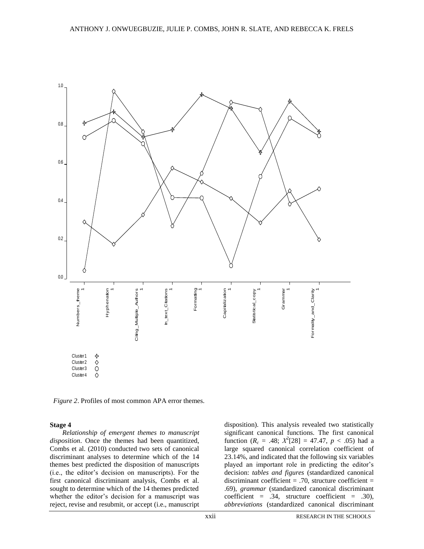

 *Figure 2*. Profiles of most common APA error themes.

#### **Stage 4**

*Relationship of emergent themes to manuscript disposition*. Once the themes had been quantitized, Combs et al. (2010) conducted two sets of canonical discriminant analyses to determine which of the 14 themes best predicted the disposition of manuscripts (i.e., the editor's decision on manuscripts). For the first canonical discriminant analysis, Combs et al. sought to determine which of the 14 themes predicted whether the editor's decision for a manuscript was reject, revise and resubmit, or accept (i.e., manuscript

disposition). This analysis revealed two statistically significant canonical functions. The first canonical function  $(R_c = .48; X^2[28] = 47.47, p < .05)$  had a large squared canonical correlation coefficient of 23.14%, and indicated that the following six variables played an important role in predicting the editor's decision: *tables and figures* (standardized canonical discriminant coefficient  $= .70$ , structure coefficient  $=$ .69), *grammar* (standardized canonical discriminant coefficient = .34, structure coefficient = .30), *abbreviations* (standardized canonical discriminant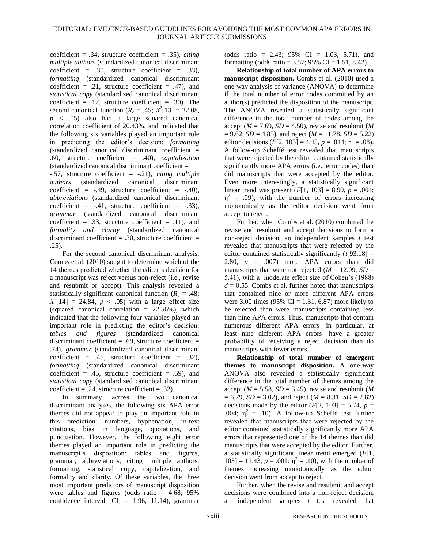coefficient = .34, structure coefficient = .35), *citing multiple authors* (standardized canonical discriminant coefficient = .30, structure coefficient = .33), *formatting* (standardized canonical discriminant coefficient =  $.21$ , structure coefficient =  $.47$ ), and *statistical copy* (standardized canonical discriminant coefficient =  $.17$ , structure coefficient =  $.30$ ). The second canonical function  $(R_c = .45; X^2[13] = 22.08,$ *p* < .05) also had a large squared canonical correlation coefficient of 20.43%, and indicated that the following six variables played an important role in predicting the editor's decision: *formatting*  $(\text{standardized canonical discriminant coefficient} =$ .60, structure coefficient = .40), *capitalization* (standardized canonical discriminant coefficient = -.57, structure coefficient = -.21), *citing multiple authors* (standardized canonical discriminant coefficient =  $-.49$ , structure coefficient =  $-.40$ ), *abbreviations* (standardized canonical discriminant coefficient =  $-.41$ , structure coefficient =  $-.33$ ), *grammar* (standardized canonical discriminant coefficient = .33, structure coefficient = .11), and *formality and clarity* (standardized canonical discriminant coefficient  $= .30$ , structure coefficient  $=$ .25).

For the second canonical discriminant analysis, Combs et al. (2010) sought to determine which of the 14 themes predicted whether the editor's decision for a manuscript was reject versus non-reject (i.e., revise and resubmit or accept). This analysis revealed a statistically significant canonical function  $(R<sub>c</sub> = .48;$  $X^2[14] = 24.84$ ,  $p < .05$ ) with a large effect size (squared canonical correlation  $= 22.56\%$ ), which indicated that the following four variables played an important role in predicting the editor's decision: *tables and figures* (standardized canonical discriminant coefficient  $= .69$ , structure coefficient  $=$ .74), *grammar* (standardized canonical discriminant coefficient =  $.45$ , structure coefficient =  $.32$ ), *formatting* (standardized canonical discriminant coefficient = .45, structure coefficient = .59), and *statistical copy* (standardized canonical discriminant coefficient =  $.24$ , structure coefficient =  $.32$ ).

In summary, across the two canonical discriminant analyses, the following six APA error themes did not appear to play an important role in this prediction: numbers, hyphenation, in-text citations, bias in language, quotations, and punctuation. However, the following eight error themes played an important role in predicting the manuscript's disposition: tables and figures, grammar, abbreviations, citing multiple authors, formatting, statistical copy, capitalization, and formality and clarity. Of these variables, the three most important predictors of manuscript disposition were tables and figures (odds ratio  $= 4.68$ ; 95% confidence interval  $\text{[CI]} = 1.96, 11.14$ , grammar

(odds ratio = 2.43;  $95\%$  CI = 1.03, 5.71), and formatting (odds ratio =  $3.57:95\%$  CI =  $1.51, 8.42$ ).

**Relationship of total number of APA errors to manuscript disposition.** Combs et al. (2010) used a one-way analysis of variance (ANOVA) to determine if the total number of error codes committed by an author(s) predicted the disposition of the manuscript. The ANOVA revealed a statistically significant difference in the total number of codes among the accept ( $M = 7.69$ ,  $SD = 4.50$ ), revise and resubmit ( $M$  $= 9.62$ , *SD* = 4.85), and reject (*M* = 11.78, *SD* = 5.22) editor decisions  $(F[2, 103] = 4.45, p = .014; \eta^2 = .08)$ . A follow-up Scheffé test revealed that manuscripts that were rejected by the editor contained statistically significantly more APA errors (i.e., error codes) than did manuscripts that were accepted by the editor. Even more interestingly, a statistically significant linear trend was present  $(F[1, 103] = 8.90, p = .004;$  $\eta^2$  = .09), with the number of errors increasing monotonically as the editor decision went from accept to reject.

Further, when Combs et al. (2010) combined the revise and resubmit and accept decisions to form a non-reject decision, an independent samples *t* test revealed that manuscripts that were rejected by the editor contained statistically significantly (*t*[93.18] = 2.80,  $p = .007$  more APA errors than did manuscripts that were not rejected  $(M = 12.09, SD =$ 5.41), with a moderate effect size of Cohen's (1988)  $d = 0.55$ . Combs et al. further noted that manuscripts that contained nine or more different APA errors were 3.00 times (95% CI = 1.31, 6.87) more likely to be rejected than were manuscripts containing less than nine APA errors. Thus, manuscripts that contain numerous different APA errors—in particular, at least nine different APA errors—have a greater probability of receiving a reject decision than do manuscripts with fewer errors.

**Relationship of total number of emergent themes to manuscript disposition.** A one-way ANOVA also revealed a statistically significant difference in the total number of themes among the accept ( $M = 5.58$ ,  $SD = 3.45$ ), revise and resubmit ( $M$  $= 6.79$ , *SD* = 3.02), and reject (*M* = 8.31, *SD* = 2.83) decisions made by the editor  $(F[2, 103] = 5.74, p =$ .004;  $\eta^2$  = .10). A follow-up Scheffé test further revealed that manuscripts that were rejected by the editor contained statistically significantly more APA errors that represented one of the 14 themes than did manuscripts that were accepted by the editor. Further, a statistically significant linear trend emerged (*F*[1,  $103$ ] = 11.43,  $p = .001$ ;  $\eta^2 = .10$ ), with the number of themes increasing monotonically as the editor decision went from accept to reject.

Further, when the revise and resubmit and accept decisions were combined into a non-reject decision, an independent samples *t* test revealed that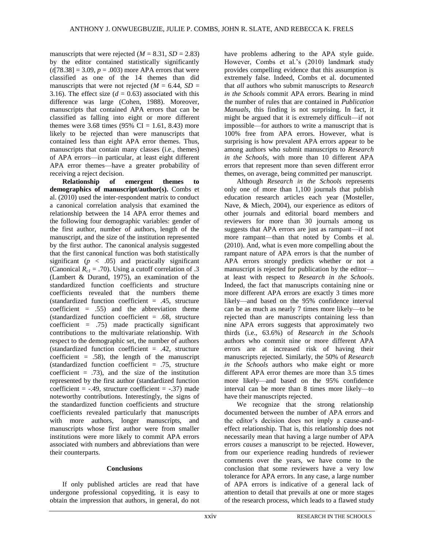manuscripts that were rejected  $(M = 8.31, SD = 2.83)$ by the editor contained statistically significantly  $(t[78.38] = 3.09, p = .003)$  more APA errors that were classified as one of the 14 themes than did manuscripts that were not rejected  $(M = 6.44, SD =$ 3.16). The effect size  $(d = 0.63)$  associated with this difference was large (Cohen, 1988). Moreover, manuscripts that contained APA errors that can be classified as falling into eight or more different themes were 3.68 times (95% CI = 1.61, 8.43) more likely to be rejected than were manuscripts that contained less than eight APA error themes. Thus, manuscripts that contain many classes (i.e., themes) of APA errors—in particular, at least eight different APA error themes—have a greater probability of receiving a reject decision.

**Relationship of emergent themes to demographics of manuscript/author(s).** Combs et al. (2010) used the inter-respondent matrix to conduct a canonical correlation analysis that examined the relationship between the 14 APA error themes and the following four demographic variables: gender of the first author, number of authors, length of the manuscript, and the size of the institution represented by the first author. The canonical analysis suggested that the first canonical function was both statistically significant ( $p \lt$  .05) and practically significant (Canonical  $R_{c1} = .70$ ). Using a cutoff correlation of .3 (Lambert & Durand, 1975), an examination of the standardized function coefficients and structure coefficients revealed that the numbers theme (standardized function coefficient  $= .45$ , structure coefficient  $= .55$ ) and the abbreviation theme (standardized function coefficient  $= .68$ , structure coefficient =  $.75$ ) made practically significant contributions to the multivariate relationship. With respect to the demographic set, the number of authors (standardized function coefficient  $= .42$ , structure coefficient  $= .58$ , the length of the manuscript (standardized function coefficient = .75, structure coefficient  $= .73$ , and the size of the institution represented by the first author (standardized function coefficient =  $-.49$ , structure coefficient =  $-.37$ ) made noteworthy contributions. Interestingly, the signs of the standardized function coefficients and structure coefficients revealed particularly that manuscripts with more authors, longer manuscripts, and manuscripts whose first author were from smaller institutions were more likely to commit APA errors associated with numbers and abbreviations than were their counterparts.

#### **Conclusions**

If only published articles are read that have undergone professional copyediting, it is easy to obtain the impression that authors, in general, do not have problems adhering to the APA style guide. However, Combs et al.'s (2010) landmark study provides compelling evidence that this assumption is extremely false. Indeed, Combs et al. documented that *all* authors who submit manuscripts to *Research in the Schools* commit APA errors. Bearing in mind the number of rules that are contained in *Publication Manuals*, this finding is not surprising. In fact, it might be argued that it is extremely difficult—if not impossible—for authors to write a manuscript that is 100% free from APA errors. However, what is surprising is how prevalent APA errors appear to be among authors who submit manuscripts to *Research in the Schools*, with more than 10 different APA errors that represent more than seven different error themes, on average, being committed per manuscript.

Although *Research in the Schools* represents only one of more than 1,100 journals that publish education research articles each year (Mosteller, Nave, & Miech, 2004), our experience as editors of other journals and editorial board members and reviewers for more than 30 journals among us suggests that APA errors are just as rampant—if not more rampant—than that noted by Combs et al. (2010). And, what is even more compelling about the rampant nature of APA errors is that the number of APA errors strongly predicts whether or not a manuscript is rejected for publication by the editor at least with respect to *Research in the Schools*. Indeed, the fact that manuscripts containing nine or more different APA errors are exactly 3 times more likely—and based on the 95% confidence interval can be as much as nearly 7 times more likely—to be rejected than are manuscripts containing less than nine APA errors suggests that approximately two thirds (i.e., 63.6%) of *Research in the Schools*  authors who commit nine or more different APA errors are at increased risk of having their manuscripts rejected. Similarly, the 50% of *Research in the Schools* authors who make eight or more different APA error themes are more than 3.5 times more likely—and based on the 95% confidence interval can be more than 8 times more likely—to have their manuscripts rejected.

We recognize that the strong relationship documented between the number of APA errors and the editor's decision does not imply a cause-andeffect relationship. That is, this relationship does not necessarily mean that having a large number of APA errors *causes* a manuscript to be rejected. However, from our experience reading hundreds of reviewer comments over the years, we have come to the conclusion that some reviewers have a very low tolerance for APA errors. In any case, a large number of APA errors is indicative of a general lack of attention to detail that prevails at one or more stages of the research process, which leads to a flawed study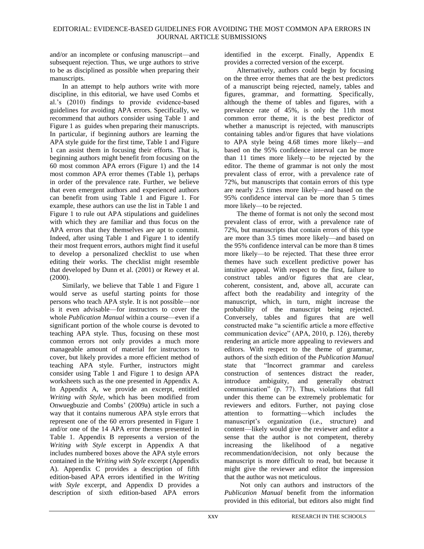and/or an incomplete or confusing manuscript—and subsequent rejection. Thus, we urge authors to strive to be as disciplined as possible when preparing their manuscripts.

In an attempt to help authors write with more discipline, in this editorial, we have used Combs et al.'s (2010) findings to provide evidence-based guidelines for avoiding APA errors. Specifically, we recommend that authors consider using Table 1 and Figure 1 as guides when preparing their manuscripts. In particular, if beginning authors are learning the APA style guide for the first time, Table 1 and Figure 1 can assist them in focusing their efforts. That is, beginning authors might benefit from focusing on the 60 most common APA errors (Figure 1) and the 14 most common APA error themes (Table 1), perhaps in order of the prevalence rate. Further, we believe that even emergent authors and experienced authors can benefit from using Table 1 and Figure 1. For example, these authors can use the list in Table 1 and Figure 1 to rule out APA stipulations and guidelines with which they are familiar and thus focus on the APA errors that they themselves are apt to commit. Indeed, after using Table 1 and Figure 1 to identify their most frequent errors, authors might find it useful to develop a personalized checklist to use when editing their works. The checklist might resemble that developed by Dunn et al. (2001) or Rewey et al.  $(2000)$ .

Similarly, we believe that Table 1 and Figure 1 would serve as useful starting points for those persons who teach APA style. It is not possible—nor is it even advisable—for instructors to cover the whole *Publication Manual* within a course—even if a significant portion of the whole course is devoted to teaching APA style. Thus, focusing on these most common errors not only provides a much more manageable amount of material for instructors to cover, but likely provides a more efficient method of teaching APA style. Further, instructors might consider using Table 1 and Figure 1 to design APA worksheets such as the one presented in Appendix A. In Appendix A, we provide an excerpt, entitled *Writing with Style*, which has been modified from Onwuegbuzie and Combs' (2009a) article in such a way that it contains numerous APA style errors that represent one of the 60 errors presented in Figure 1 and/or one of the 14 APA error themes presented in Table 1. Appendix B represents a version of the *Writing with Style* excerpt in Appendix A that includes numbered boxes above the APA style errors contained in the *Writing with Style* excerpt (Appendix A). Appendix C provides a description of fifth edition-based APA errors identified in the *Writing with Style* excerpt, and Appendix D provides a description of sixth edition-based APA errors

identified in the excerpt. Finally, Appendix E provides a corrected version of the excerpt.

Alternatively, authors could begin by focusing on the three error themes that are the best predictors of a manuscript being rejected, namely, tables and figures, grammar, and formatting. Specifically, although the theme of tables and figures, with a prevalence rate of 45%, is only the 11th most common error theme, it is the best predictor of whether a manuscript is rejected, with manuscripts containing tables and/or figures that have violations to APA style being 4.68 times more likely—and based on the 95% confidence interval can be more than 11 times more likely—to be rejected by the editor. The theme of grammar is not only the most prevalent class of error, with a prevalence rate of 72%, but manuscripts that contain errors of this type are nearly 2.5 times more likely—and based on the 95% confidence interval can be more than 5 times more likely—to be rejected.

The theme of format is not only the second most prevalent class of error, with a prevalence rate of 72%, but manuscripts that contain errors of this type are more than 3.5 times more likely—and based on the 95% confidence interval can be more than 8 times more likely—to be rejected. That these three error themes have such excellent predictive power has intuitive appeal. With respect to the first, failure to construct tables and/or figures that are clear, coherent, consistent, and, above all, accurate can affect both the readability and integrity of the manuscript, which, in turn, might increase the probability of the manuscript being rejected. Conversely, tables and figures that are well constructed make "a scientific article a more effective communication device"  $(APA, 2010, p. 126)$ , thereby rendering an article more appealing to reviewers and editors. With respect to the theme of grammar, authors of the sixth edition of the *Publication Manual* state that "Incorrect grammar and careless construction of sentences distract the reader, introduce ambiguity, and generally obstruct communication" (p. 77). Thus, violations that fall under this theme can be extremely problematic for reviewers and editors. Further, not paying close attention to formatting—which includes the manuscript's organization (i.e., structure) and content—likely would give the reviewer and editor a sense that the author is not competent, thereby increasing the likelihood of a negative recommendation/decision, not only because the manuscript is more difficult to read, but because it might give the reviewer and editor the impression that the author was not meticulous.

Not only can authors and instructors of the *Publication Manual* benefit from the information provided in this editorial, but editors also might find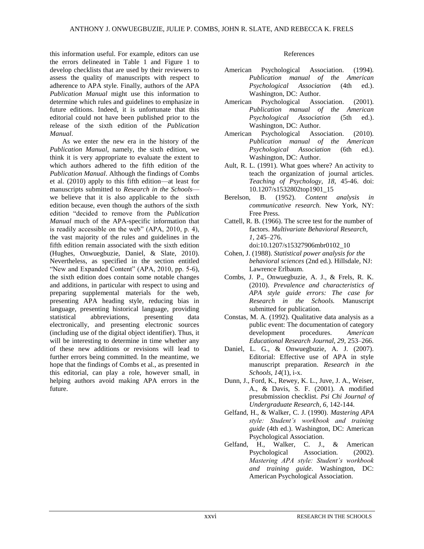this information useful. For example, editors can use the errors delineated in Table 1 and Figure 1 to develop checklists that are used by their reviewers to assess the quality of manuscripts with respect to adherence to APA style. Finally, authors of the APA *Publication Manual* might use this information to determine which rules and guidelines to emphasize in future editions. Indeed, it is unfortunate that this editorial could not have been published prior to the release of the sixth edition of the *Publication Manual*.

As we enter the new era in the history of the *Publication Manual*, namely, the sixth edition, we think it is very appropriate to evaluate the extent to which authors adhered to the fifth edition of the *Publication Manual*. Although the findings of Combs et al. (2010) apply to this fifth edition—at least for manuscripts submitted to *Research in the Schools* we believe that it is also applicable to the sixth edition because, even though the authors of the sixth edition "decided to remove from the *Publication Manual* much of the APA-specific information that is readily accessible on the web"  $(APA, 2010, p. 4)$ , the vast majority of the rules and guidelines in the fifth edition remain associated with the sixth edition (Hughes, Onwuegbuzie, Daniel, & Slate, 2010). Nevertheless, as specified in the section entitled "New and Expanded Content" (APA, 2010, pp. 5-6), the sixth edition does contain some notable changes and additions, in particular with respect to using and preparing supplemental materials for the web, presenting APA heading style, reducing bias in language, presenting historical language, providing statistical abbreviations, presenting data electronically, and presenting electronic sources (including use of the digital object identifier). Thus, it will be interesting to determine in time whether any of these new additions or revisions will lead to further errors being committed. In the meantime, we hope that the findings of Combs et al., as presented in this editorial, can play a role, however small, in helping authors avoid making APA errors in the future.

#### References

- American Psychological Association. (1994). *Publication manual of the American Psychological Association* (4th ed.). Washington, DC: Author.
- American Psychological Association. (2001). *Publication manual of the American Psychological Association* (5th ed.). Washington, DC: Author.
- American Psychological Association. (2010). *Publication manual of the American Psychological Association* (6th ed.). Washington, DC: Author.
- Ault, R. L. (1991). What goes where? An activity to teach the organization of journal articles. *Teaching of Psychology, 18,* 45-46. doi: 10.1207/s1532802top1901\_15
- Berelson, B. (1952). *Content analysis in communicative research.* New York, NY: Free Press.
- Cattell, R. B. (1966). The scree test for the number of factors. *Multivariate Behavioral Research, 1,* 245–276. doi:10.1207/s15327906mbr0102\_10
- Cohen, J. (1988). *Statistical power analysis for the behavioral sciences* (2nd ed.)*.* Hillsdale, NJ: Lawrence Erlbaum.
- Combs, J. P., Onwuegbuzie, A. J., & Frels, R. K. (2010). *Prevalence and characteristics of APA style guide errors: The case for Research in the Schools.* Manuscript submitted for publication.
- Constas, M. A. (1992). Qualitative data analysis as a public event: The documentation of category development procedures. *American Educational Research Journal, 29,* 253–266.
- Daniel, L. G., & Onwuegbuzie, A. J. (2007). Editorial: Effective use of APA in style manuscript preparation. *Research in the Schools, 14*(1), i-x.
- Dunn, J., Ford, K., Rewey, K. L., Juve, J. A., Weiser, A., & Davis, S. F. (2001). A modified presubmission checklist. *Psi Chi Journal of Undergraduate Research, 6,* 142-144.
- Gelfand, H., & Walker, C. J. (1990). *Mastering APA style: Student's workbook and training guide* (4th ed.). Washington, DC: American Psychological Association.
- Gelfand, H., Walker, C. J., & American Psychological Association. (2002). *Mastering APA style: Student's workbook and training guide*. Washington, DC: American Psychological Association.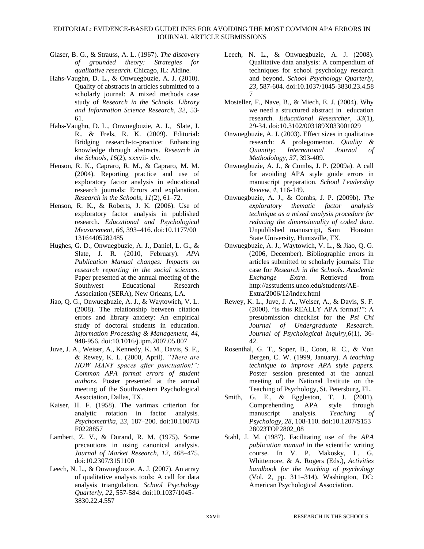- Glaser, B. G., & Strauss, A. L. (1967). *The discovery of grounded theory: Strategies for qualitative research.* Chicago, IL: Aldine.
- Hahs-Vaughn, D. L., & Onwuegbuzie, A. J. (2010). Quality of abstracts in articles submitted to a scholarly journal: A mixed methods case study of *Research in the Schools*. *Library and Information Science Research, 32*, 53- 61.
- Hahs-Vaughn, D. L., Onwuegbuzie, A. J., Slate, J. R., & Frels, R. K. (2009). Editorial: Bridging research-to-practice: Enhancing knowledge through abstracts. *Research in the Schools, 16*(2), xxxvii- xlv.
- Henson, R. K., Capraro, R. M., & Capraro, M. M. (2004). Reporting practice and use of exploratory factor analysis in educational research journals: Errors and explanation. *Research in the Schools*, *11*(2), 61–72.
- Henson, R. K., & Roberts, J. K. (2006). Use of exploratory factor analysis in published research. *Educational and Psychological Measurement, 66,* 393–416. doi:10.1177/00 13164405282485
- Hughes, G. D., Onwuegbuzie, A. J., Daniel, L. G., & Slate, J. R. (2010, February). *APA Publication Manual changes: Impacts on research reporting in the social sciences.* Paper presented at the annual meeting of the Southwest Educational Research Association (SERA), New Orleans, LA.
- Jiao, Q. G., Onwuegbuzie, A. J., & Waytowich, V. L. (2008). The relationship between citation errors and library anxiety: An empirical study of doctoral students in education. *Information Processing & Management, 44*, 948-956. doi:10.1016/j.ipm.2007.05.007
- Juve, J. A., Weiser, A., Kennedy, K. M., Davis, S. F., & Rewey, K. L. (2000, April). *"There are HOW MANY spaces after punctuation!": Common APA format errors of student authors.* Poster presented at the annual meeting of the Southwestern Psychological Association, Dallas, TX.
- Kaiser, H. F. (1958). The varimax criterion for analytic rotation in factor analysis. *Psychometrika, 23,* 187–200. doi:10.1007/B F0228857
- Lambert, Z. V., & Durand, R. M. (1975). Some precautions in using canonical analysis. *Journal of Market Research, 12,* 468–475. doi:10.2307/3151100
- Leech, N. L., & Onwuegbuzie, A. J. (2007). An array of qualitative analysis tools: A call for data analysis triangulation. *School Psychology Quarterly*, *22*, 557-584. doi:10.1037/1045- 3830.22.4.557
- Leech, N. L., & Onwuegbuzie, A. J. (2008). Qualitative data analysis: A compendium of techniques for school psychology research and beyond. *School Psychology Quarterly, 23*, 587-604*.* doi:10.1037/1045-3830.23.4.58 7
- Mosteller, F., Nave, B., & Miech, E. J. (2004). Why we need a structured abstract in education research. *Educational Researcher, 33*(1), 29-34. doi:10.3102/003189X033001029
- Onwuegbuzie, A. J. (2003). Effect sizes in qualitative research: A prolegomenon. *Quality & Quantity: International Journal of Methodology, 37*, 393-409.
- Onwuegbuzie, A. J., & Combs, J. P. (2009a). A call for avoiding APA style guide errors in manuscript preparation. *School Leadership Review, 4*, 116-149.
- Onwuegbuzie, A. J., & Combs, J. P. (2009b). *The exploratory thematic factor analysis technique as a mixed analysis procedure for reducing the dimensionality of coded data*. Unpublished manuscript, Sam Houston State University, Huntsville, TX.
- Onwuegbuzie, A. J., Waytowich, V. L., & Jiao, Q. G. (2006, December). Bibliographic errors in articles submitted to scholarly journals: The case for *Research in the Schools*. *Academic Exchange Extra*. Retrieved from http://asstudents.unco.edu/students/AE-Extra/2006/12/index.html
- Rewey, K. L., Juve, J. A., Weiser, A., & Davis, S. F. (2000). "Is this REALLY APA format?": A presubmission checklist for the *Psi Chi Journal of Undergraduate Research*. *Journal of Psychological Inquiry,6*(1), 36- 42.
- Rosenthal, G. T., Soper, B., Coon, R. C., & Von Bergen, C. W. (1999, January). *A teaching technique to improve APA style papers.*  Poster session presented at the annual meeting of the National Institute on the Teaching of Psychology, St. Petersburg, FL.
- Smith, G. E., & Eggleston, T. J. (2001). Comprehending APA style through manuscript analysis. *Teaching of Psychology, 28*, 108-110. doi:10.1207/S153 28023TOP2802\_08
- Stahl, J. M. (1987). Facilitating use of the *APA publication manual* in the scientific writing course. In V. P. Makosky, L. G. Whittemore, & A. Rogers (Eds.), *Activities handbook for the teaching of psychology*  (Vol. 2, pp. 311–314). Washington, DC: American Psychological Association.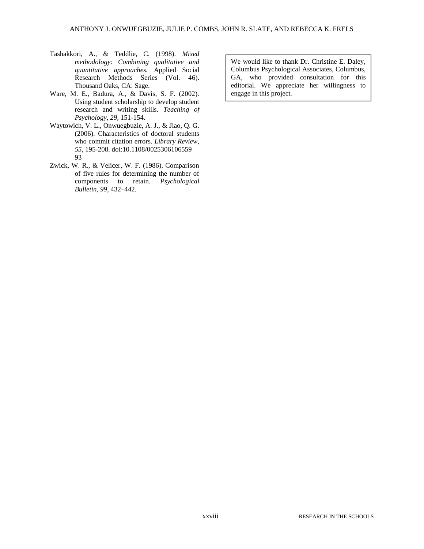- Tashakkori, A., & Teddlie, C. (1998). *Mixed methodology: Combining qualitative and quantitative approaches.* Applied Social Research Methods Series (Vol. 46). Thousand Oaks, CA: Sage.
- Ware, M. E., Badura, A., & Davis, S. F. (2002). Using student scholarship to develop student research and writing skills. *Teaching of Psychology, 29,* 151-154.
- Waytowich, V. L., Onwuegbuzie, A. J., & Jiao, Q. G. (2006). Characteristics of doctoral students who commit citation errors. *Library Review*, *55*, 195-208. doi:10.1108/0025306106559 93
- Zwick, W. R., & Velicer, W. F. (1986). Comparison of five rules for determining the number of components to retain. *Psychological Bulletin, 99,* 432–442.

We would like to thank Dr. Christine E. Daley, Columbus Psychological Associates, Columbus, GA, who provided consultation for this editorial. We appreciate her willingness to engage in this project.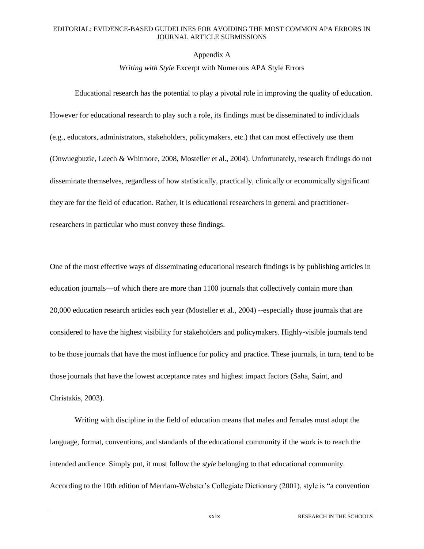# Appendix A

# *Writing with Style* Excerpt with Numerous APA Style Errors

Educational research has the potential to play a pivotal role in improving the quality of education. However for educational research to play such a role, its findings must be disseminated to individuals (e.g., educators, administrators, stakeholders, policymakers, etc.) that can most effectively use them (Onwuegbuzie, Leech & Whitmore, 2008, Mosteller et al., 2004). Unfortunately, research findings do not disseminate themselves, regardless of how statistically, practically, clinically or economically significant they are for the field of education. Rather, it is educational researchers in general and practitionerresearchers in particular who must convey these findings.

One of the most effective ways of disseminating educational research findings is by publishing articles in education journals—of which there are more than 1100 journals that collectively contain more than 20,000 education research articles each year (Mosteller et al., 2004) --especially those journals that are considered to have the highest visibility for stakeholders and policymakers. Highly-visible journals tend to be those journals that have the most influence for policy and practice. These journals, in turn, tend to be those journals that have the lowest acceptance rates and highest impact factors (Saha, Saint, and Christakis, 2003).

Writing with discipline in the field of education means that males and females must adopt the language, format, conventions, and standards of the educational community if the work is to reach the intended audience. Simply put, it must follow the *style* belonging to that educational community. According to the 10th edition of Merriam-Webster's Collegiate Dictionary (2001), style is "a convention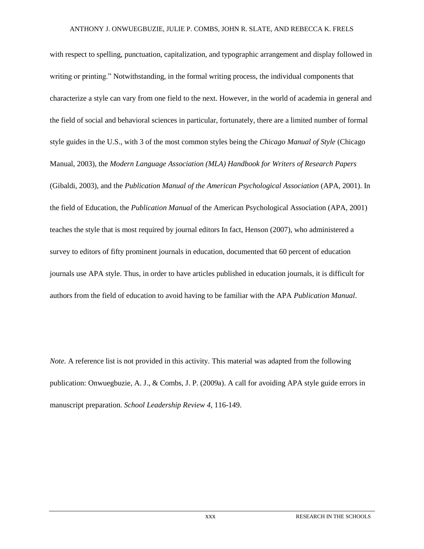with respect to spelling, punctuation, capitalization, and typographic arrangement and display followed in writing or printing." Notwithstanding, in the formal writing process, the individual components that characterize a style can vary from one field to the next. However, in the world of academia in general and the field of social and behavioral sciences in particular, fortunately, there are a limited number of formal style guides in the U.S., with 3 of the most common styles being the *Chicago Manual of Style* (Chicago Manual, 2003), the *Modern Language Association (MLA) Handbook for Writers of Research Papers* (Gibaldi, 2003), and the *Publication Manual of the American Psychological Association* (APA, 2001). In the field of Education, the *Publication Manual* of the American Psychological Association (APA, 2001) teaches the style that is most required by journal editors In fact, Henson (2007), who administered a survey to editors of fifty prominent journals in education, documented that 60 percent of education journals use APA style. Thus, in order to have articles published in education journals, it is difficult for authors from the field of education to avoid having to be familiar with the APA *Publication Manual*.

*Note.* A reference list is not provided in this activity. This material was adapted from the following publication: Onwuegbuzie, A. J., & Combs, J. P. (2009a). A call for avoiding APA style guide errors in manuscript preparation. *School Leadership Review 4*, 116-149.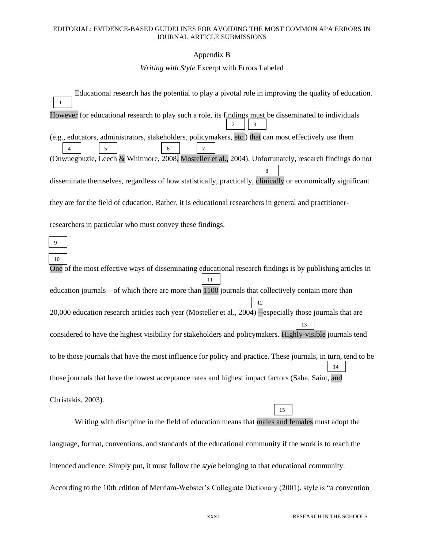# Appendix B

## *Writing with Style* Excerpt with Errors Labeled

Educational research has the potential to play a pivotal role in improving the quality of education. However for educational research to play such a role, its findings must be disseminated to individuals (e.g., educators, administrators, stakeholders, policymakers, etc.) that can most effectively use them (Onwuegbuzie, Leech & Whitmore, 2008, Mosteller et al., 2004). Unfortunately, research findings do not disseminate themselves, regardless of how statistically, practically, clinically or economically significant they are for the field of education. Rather, it is educational researchers in general and practitionerresearchers in particular who must convey these findings. 1 4 | | 5 | | | | | 6 2 3 7 8 9

One of the most effective ways of disseminating educational research findings is by publishing articles in education journals—of which there are more than  $\overline{1100}$  journals that collectively contain more than 20,000 education research articles each year (Mosteller et al., 2004) --especially those journals that are considered to have the highest visibility for stakeholders and policymakers. Highly-visible journals tend to be those journals that have the most influence for policy and practice. These journals, in turn, tend to be those journals that have the lowest acceptance rates and highest impact factors (Saha, Saint, and 0. Christakis, 2003). Writing with discipline in the field of education means that males and females must adopt the 10 11 12 13 14 15

language, format, conventions, and standards of the educational community if the work is to reach the intended audience. Simply put, it must follow the *style* belonging to that educational community. According to the 10th edition of Merriam-Webster's Collegiate Dictionary (2001), style is "a convention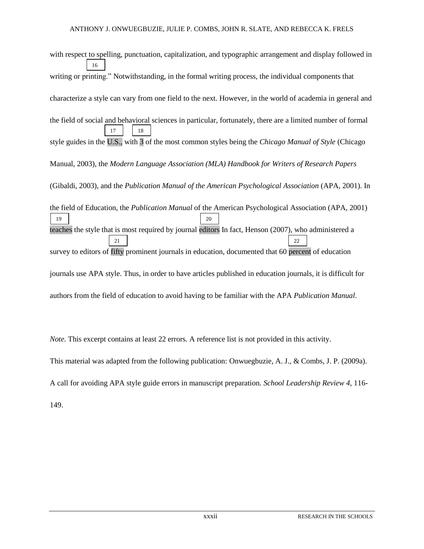with respect to spelling, punctuation, capitalization, and typographic arrangement and display followed in writing or printing." Notwithstanding, in the formal writing process, the individual components that characterize a style can vary from one field to the next. However, in the world of academia in general and the field of social and behavioral sciences in particular, fortunately, there are a limited number of formal style guides in the U.S., with 3 of the most common styles being the *Chicago Manual of Style* (Chicago Manual, 2003), the *Modern Language Association (MLA) Handbook for Writers of Research Papers* (Gibaldi, 2003), and the *Publication Manual of the American Psychological Association* (APA, 2001). In the field of Education, the *Publication Manual* of the American Psychological Association (APA, 2001) teaches the style that is most required by journal editors In fact, Henson (2007), who administered a survey to editors of fifty prominent journals in education, documented that 60 percent of education journals use APA style. Thus, in order to have articles published in education journals, it is difficult for authors from the field of education to avoid having to be familiar with the APA *Publication Manual*. 16 21 22 17 18 19 20

*Note.* This excerpt contains at least 22 errors. A reference list is not provided in this activity.

This material was adapted from the following publication: Onwuegbuzie, A. J., & Combs, J. P. (2009a).

A call for avoiding APA style guide errors in manuscript preparation. *School Leadership Review 4*, 116-

149.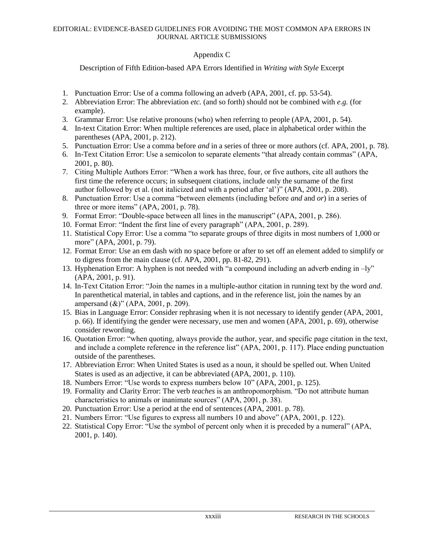# Appendix C

Description of Fifth Edition-based APA Errors Identified in *Writing with Style* Excerpt

- 1. Punctuation Error: Use of a comma following an adverb (APA, 2001, cf. pp. 53-54).
- 2. Abbreviation Error: The abbreviation *etc.* (and so forth) should not be combined with *e.g.* (for example).
- 3. Grammar Error: Use relative pronouns (who) when referring to people (APA, 2001, p. 54).
- 4. In-text Citation Error: When multiple references are used, place in alphabetical order within the parentheses (APA, 2001, p. 212).
- 5. Punctuation Error: Use a comma before *and* in a series of three or more authors (cf. APA, 2001, p. 78).
- 6. In-Text Citation Error: Use a semicolon to separate elements "that already contain commas" (APA, 2001, p. 80).
- 7. Citing Multiple Authors Error: "When a work has three, four, or five authors, cite all authors the first time the reference occurs; in subsequent citations, include only the surname of the first author followed by et al. (not italicized and with a period after 'al')" (APA, 2001, p. 208).
- 8. Punctuation Error: Use a comma "between elements (including before *and* and *or*) in a series of three or more items"  $(APA, 2001, p. 78)$ .
- 9. Format Error: "Double-space between all lines in the manuscript" (APA, 2001, p. 286).
- 10. Format Error: "Indent the first line of every paragraph" (APA, 2001, p. 289).
- 11. Statistical Copy Error: Use a comma "to separate groups of three digits in most numbers of 1,000 or more" (APA, 2001, p. 79).
- 12. Format Error: Use an em dash with no space before or after to set off an element added to simplify or to digress from the main clause (cf. APA, 2001, pp. 81-82, 291).
- 13. Hyphenation Error: A hyphen is not needed with "a compound including an adverb ending in  $-ly$ " (APA, 2001, p. 91).
- 14. In-Text Citation Error: "Join the names in a multiple-author citation in running text by the word *and*. In parenthetical material, in tables and captions, and in the reference list, join the names by an ampersand  $(\&)$ " (APA, 2001, p. 209).
- 15. Bias in Language Error: Consider rephrasing when it is not necessary to identify gender (APA, 2001, p. 66). If identifying the gender were necessary, use men and women (APA, 2001, p. 69), otherwise consider rewording.
- 16. Quotation Error: "when quoting, always provide the author, year, and specific page citation in the text, and include a complete reference in the reference list"  $(APA, 2001, p. 117)$ . Place ending punctuation outside of the parentheses.
- 17. Abbreviation Error: When United States is used as a noun, it should be spelled out. When United States is used as an adjective, it can be abbreviated (APA, 2001, p. 110).
- 18. Numbers Error: "Use words to express numbers below 10" (APA, 2001, p. 125).
- 19. Formality and Clarity Error: The verb *teaches* is an anthropomorphism. "Do not attribute human characteristics to animals or inanimate sources" (APA, 2001, p. 38).
- 20. Punctuation Error: Use a period at the end of sentences (APA, 2001. p. 78).
- 21. Numbers Error: "Use figures to express all numbers 10 and above" (APA, 2001, p. 122).
- 22. Statistical Copy Error: "Use the symbol of percent only when it is preceded by a numeral" (APA, 2001, p. 140).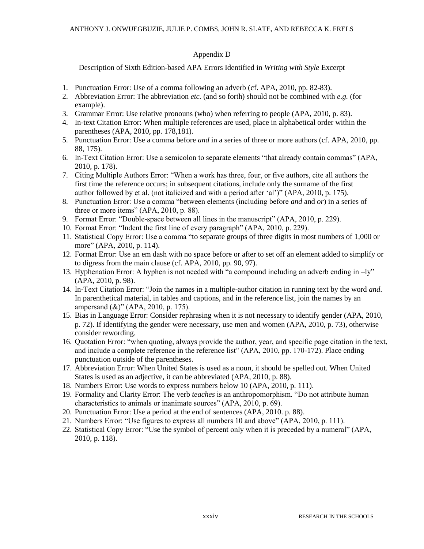# Appendix D

Description of Sixth Edition-based APA Errors Identified in *Writing with Style* Excerpt

- 1. Punctuation Error: Use of a comma following an adverb (cf. APA, 2010, pp. 82-83).
- 2. Abbreviation Error: The abbreviation *etc.* (and so forth) should not be combined with *e.g.* (for example).
- 3. Grammar Error: Use relative pronouns (who) when referring to people (APA, 2010, p. 83).
- 4. In-text Citation Error: When multiple references are used, place in alphabetical order within the parentheses (APA, 2010, pp. 178,181).
- 5. Punctuation Error: Use a comma before *and* in a series of three or more authors (cf. APA, 2010, pp. 88, 175).
- 6. In-Text Citation Error: Use a semicolon to separate elements "that already contain commas" (APA, 2010, p. 178).
- 7. Citing Multiple Authors Error: "When a work has three, four, or five authors, cite all authors the first time the reference occurs; in subsequent citations, include only the surname of the first author followed by et al. (not italicized and with a period after  $\lceil$ al')" (APA, 2010, p. 175).
- 8. Punctuation Error: Use a comma "between elements (including before *and* and *or*) in a series of three or more items" (APA,  $2010$ , p. 88).
- 9. Format Error: "Double-space between all lines in the manuscript" (APA, 2010, p. 229).
- 10. Format Error: "Indent the first line of every paragraph" (APA, 2010, p. 229).
- 11. Statistical Copy Error: Use a comma "to separate groups of three digits in most numbers of 1,000 or more" (APA, 2010, p. 114).
- 12. Format Error: Use an em dash with no space before or after to set off an element added to simplify or to digress from the main clause (cf. APA, 2010, pp. 90, 97).
- 13. Hyphenation Error: A hyphen is not needed with "a compound including an adverb ending in  $-ly$ " (APA, 2010, p. 98).
- 14. In-Text Citation Error: "Join the names in a multiple-author citation in running text by the word *and*. In parenthetical material, in tables and captions, and in the reference list, join the names by an ampersand  $(\&)$ " (APA, 2010, p. 175).
- 15. Bias in Language Error: Consider rephrasing when it is not necessary to identify gender (APA, 2010, p. 72). If identifying the gender were necessary, use men and women (APA, 2010, p. 73), otherwise consider rewording.
- 16. Quotation Error: "when quoting, always provide the author, year, and specific page citation in the text, and include a complete reference in the reference list"  $(APA, 2010, pp. 170-172)$ . Place ending punctuation outside of the parentheses.
- 17. Abbreviation Error: When United States is used as a noun, it should be spelled out. When United States is used as an adjective, it can be abbreviated (APA, 2010, p. 88).
- 18. Numbers Error: Use words to express numbers below 10 (APA, 2010, p. 111).
- 19. Formality and Clarity Error: The verb *teaches* is an anthropomorphism. "Do not attribute human characteristics to animals or inanimate sources" (APA, 2010, p. 69).
- 20. Punctuation Error: Use a period at the end of sentences (APA, 2010. p. 88).
- 21. Numbers Error: "Use figures to express all numbers 10 and above" (APA, 2010, p. 111).
- 22. Statistical Copy Error: "Use the symbol of percent only when it is preceded by a numeral" (APA, 2010, p. 118).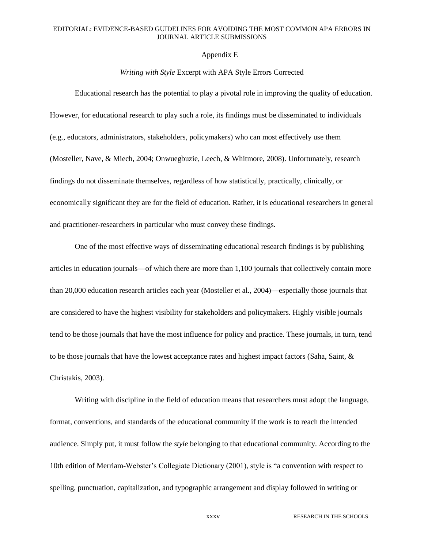### Appendix E

# *Writing with Style* Excerpt with APA Style Errors Corrected

Educational research has the potential to play a pivotal role in improving the quality of education. However, for educational research to play such a role, its findings must be disseminated to individuals (e.g., educators, administrators, stakeholders, policymakers) who can most effectively use them (Mosteller, Nave, & Miech, 2004; Onwuegbuzie, Leech, & Whitmore, 2008). Unfortunately, research findings do not disseminate themselves, regardless of how statistically, practically, clinically, or economically significant they are for the field of education. Rather, it is educational researchers in general and practitioner-researchers in particular who must convey these findings.

One of the most effective ways of disseminating educational research findings is by publishing articles in education journals—of which there are more than 1,100 journals that collectively contain more than 20,000 education research articles each year (Mosteller et al., 2004)—especially those journals that are considered to have the highest visibility for stakeholders and policymakers. Highly visible journals tend to be those journals that have the most influence for policy and practice. These journals, in turn, tend to be those journals that have the lowest acceptance rates and highest impact factors (Saha, Saint, & Christakis, 2003).

Writing with discipline in the field of education means that researchers must adopt the language, format, conventions, and standards of the educational community if the work is to reach the intended audience. Simply put, it must follow the *style* belonging to that educational community. According to the 10th edition of Merriam-Webster's Collegiate Dictionary (2001), style is "a convention with respect to spelling, punctuation, capitalization, and typographic arrangement and display followed in writing or